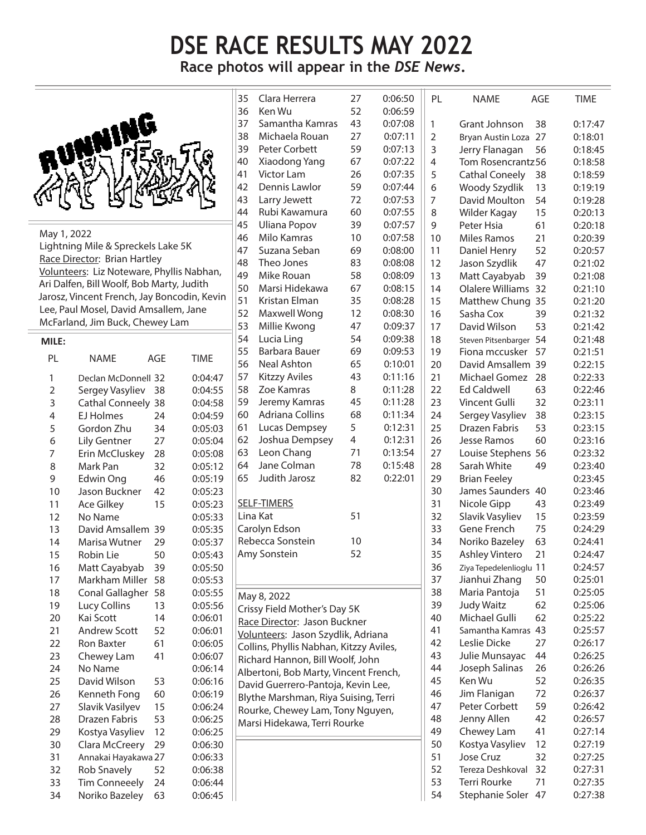## **DSE RACE RESULTS MAY 2022**

**Race photos will appear in the** *DSE News***.** 



May 1, 2022 Lightning Mile & Spreckels Lake 5K Race Director: Brian Hartley Volunteers: Liz Noteware, Phyllis Nabhan, Ari Dalfen, Bill Woolf, Bob Marty, Judith Jarosz, Vincent French, Jay Boncodin, Kevin Lee, Paul Mosel, David Amsallem, Jane McFarland, Jim Buck, Chewey Lam

## **MILE:**

| PL             | <b>NAME</b>            | AGE | <b>TIME</b> |
|----------------|------------------------|-----|-------------|
| 1              | Declan McDonnell 32    |     | 0:04:47     |
| $\overline{2}$ | Sergey Vasyliev        | 38  | 0:04:55     |
| 3              | <b>Cathal Conneely</b> | 38  | 0:04:58     |
| 4              | <b>EJ Holmes</b>       | 24  | 0:04:59     |
| 5              | Gordon Zhu             | 34  | 0:05:03     |
| 6              | <b>Lily Gentner</b>    | 27  | 0:05:04     |
| 7              | Erin McCluskey         | 28  | 0:05:08     |
| 8              | Mark Pan               | 32  | 0:05:12     |
| 9              | Edwin Ong              | 46  | 0:05:19     |
| 10             | Jason Buckner          | 42  | 0:05:23     |
| 11             | <b>Ace Gilkey</b>      | 15  | 0:05:23     |
| 12             | No Name                |     | 0:05:33     |
| 13             | David Amsallem         | 39  | 0:05:35     |
| 14             | Marisa Wutner          | 29  | 0:05:37     |
| 15             | <b>Robin Lie</b>       | 50  | 0:05:43     |
| 16             | Matt Cayabyab          | 39  | 0:05:50     |
| 17             | Markham Miller         | 58  | 0:05:53     |
| 18             | Conal Gallagher        | 58  | 0:05:55     |
| 19             | Lucy Collins           | 13  | 0:05:56     |
| 20             | <b>Kai Scott</b>       | 14  | 0:06:01     |
| 21             | <b>Andrew Scott</b>    | 52  | 0:06:01     |
| 22             | <b>Ron Baxter</b>      | 61  | 0:06:05     |
| 23             | Chewey Lam             | 41  | 0:06:07     |
| 24             | No Name                |     | 0:06:14     |
| 25             | David Wilson           | 53  | 0:06:16     |
| 26             | Kenneth Fong           | 60  | 0:06:19     |
| 27             | Slavik Vasilyev        | 15  | 0:06:24     |
| 28             | Drazen Fabris          | 53  | 0:06:25     |
| 29             | Kostya Vasyliev        | 12  | 0:06:25     |
| 30             | Clara McCreery         | 29  | 0:06:30     |
| 31             | Annakai Hayakawa 27    |     | 0:06:33     |
| 32             | <b>Rob Snavely</b>     | 52  | 0:06:38     |
| 33             | <b>Tim Conneeely</b>   | 24  | 0:06:44     |
| 34             | Noriko Bazeley         | 63  | 0:06:45     |
|                |                        |     |             |

| 35                                    | Clara Herrera                           | 27 | 0:06:50 | PL             | <b>NAME</b>             | AGE     | <b>TIME</b> |
|---------------------------------------|-----------------------------------------|----|---------|----------------|-------------------------|---------|-------------|
| 36                                    | Ken Wu                                  | 52 | 0:06:59 |                |                         |         |             |
| 37                                    | Samantha Kamras                         | 43 | 0:07:08 | 1              | Grant Johnson           | 38      | 0:17:47     |
| 38                                    | Michaela Rouan                          | 27 | 0:07:11 | $\overline{2}$ | Bryan Austin Loza       | 27      | 0:18:01     |
| 39                                    | Peter Corbett                           | 59 | 0:07:13 | 3              | Jerry Flanagan          | 56      | 0:18:45     |
| 40                                    | Xiaodong Yang                           | 67 | 0:07:22 | 4              | Tom Rosencrantz56       |         | 0:18:58     |
| 41                                    | <b>Victor Lam</b>                       | 26 | 0:07:35 | 5              | <b>Cathal Coneely</b>   | 38      | 0:18:59     |
| 42                                    | Dennis Lawlor                           | 59 | 0:07:44 | 6              | Woody Szydlik           | 13      | 0:19:19     |
| 43                                    | Larry Jewett                            | 72 | 0:07:53 | $\overline{7}$ | David Moulton           | 54      | 0:19:28     |
| 44                                    | Rubi Kawamura                           | 60 | 0:07:55 | 8              | Wilder Kagay            | 15      | 0:20:13     |
| 45                                    | <b>Uliana Popov</b>                     | 39 | 0:07:57 | 9              | Peter Hsia              | 61      | 0:20:18     |
| 46                                    | Milo Kamras                             | 10 | 0:07:58 | 10             | <b>Miles Ramos</b>      | 21      | 0:20:39     |
| 47                                    | Suzana Seban                            | 69 | 0:08:00 | 11             | Daniel Henry            | 52      | 0:20:57     |
| 48                                    | Theo Jones                              | 83 | 0:08:08 | 12             | Jason Szydlik           | 47      | 0:21:02     |
| 49                                    | Mike Rouan                              | 58 | 0:08:09 | 13             | Matt Cayabyab           | 39      | 0:21:08     |
| 50                                    | Marsi Hidekawa                          | 67 | 0:08:15 | 14             | Olalere Williams        | 32      | 0:21:10     |
| 51                                    | Kristan Elman                           | 35 | 0:08:28 | 15             | Matthew Chung           | 35      | 0:21:20     |
| 52                                    | Maxwell Wong                            | 12 | 0:08:30 | 16             | Sasha Cox               | 39      | 0:21:32     |
| 53                                    | Millie Kwong                            | 47 | 0:09:37 | 17             | David Wilson            | 53      | 0:21:42     |
| 54                                    | Lucia Ling                              | 54 | 0:09:38 | 18             | Steven Pitsenbarger     | 54      | 0:21:48     |
| 55                                    | Barbara Bauer                           | 69 | 0:09:53 | 19             | Fiona mccusker          | 57      | 0:21:51     |
| 56                                    | Neal Ashton                             | 65 | 0:10:01 | 20             | David Amsallem 39       |         | 0:22:15     |
| 57                                    | <b>Kitzzy Aviles</b>                    | 43 | 0:11:16 | 21             | <b>Michael Gomez</b>    | 28      | 0:22:33     |
| 58                                    | Zoe Kamras                              | 8  | 0:11:28 | 22             | <b>Ed Caldwell</b>      | 63      | 0:22:46     |
| 59                                    | Jeremy Kamras                           | 45 | 0:11:28 | 23             | Vincent Gulli           | 32      | 0:23:11     |
| 60                                    | Adriana Collins                         | 68 | 0:11:34 | 24             | Sergey Vasyliev         | 38      | 0:23:15     |
| 61                                    | Lucas Dempsey                           | 5  | 0:12:31 | 25             | Drazen Fabris           | 53      | 0:23:15     |
| 62                                    | Joshua Dempsey                          | 4  | 0:12:31 | 26             | Jesse Ramos             | 60      | 0:23:16     |
| 63                                    | Leon Chang                              | 71 | 0:13:54 | 27             | Louise Stephens         | 56      | 0:23:32     |
| 64                                    | Jane Colman                             | 78 | 0:15:48 | 28             | Sarah White             | 49      | 0:23:40     |
| 65                                    | Judith Jarosz                           | 82 | 0:22:01 | 29             | <b>Brian Feeley</b>     |         | 0:23:45     |
|                                       |                                         |    |         | 30             | James Saunders          | 40      | 0:23:46     |
|                                       | <b>SELF-TIMERS</b>                      |    |         | 31             | Nicole Gipp             | 43      | 0:23:49     |
|                                       | Lina Kat                                | 51 |         | 32             | Slavik Vasyliev         | 15      | 0:23:59     |
|                                       | Carolyn Edson                           |    |         | 33             | Gene French             | 75      | 0:24:29     |
|                                       | Rebecca Sonstein                        | 10 |         | 34             | Noriko Bazeley          | 63      | 0:24:41     |
|                                       | Amy Sonstein                            | 52 |         | 35             | Ashley Vintero          | 21      | 0:24:47     |
|                                       |                                         |    |         | 36             | Ziya Tepedelenlioglu 11 |         | 0:24:57     |
|                                       |                                         |    |         | 37             | Jianhui Zhang           | 50      | 0:25:01     |
|                                       |                                         |    |         | 38             | Maria Pantoja           | 51      | 0:25:05     |
|                                       | May 8, 2022                             |    |         | 39             | <b>Judy Waitz</b>       | 62      | 0:25:06     |
|                                       | Crissy Field Mother's Day 5K            |    |         | 40             | Michael Gulli           | 62      | 0:25:22     |
|                                       | Race Director: Jason Buckner            |    |         | 41             | Samantha Kamras 43      |         | 0:25:57     |
|                                       | Volunteers: Jason Szydlik, Adriana      |    |         | 42             | Leslie Dicke            | 27      | 0:26:17     |
|                                       | Collins, Phyllis Nabhan, Kitzzy Aviles, |    |         | 43             | Julie Munsayac          | 44      | 0:26:25     |
| Richard Hannon, Bill Woolf, John      |                                         |    |         | 44             | Joseph Salinas          | 26      |             |
| Albertoni, Bob Marty, Vincent French, |                                         |    |         |                | Ken Wu                  | 52      | 0:26:26     |
| David Guerrero-Pantoja, Kevin Lee,    |                                         |    |         | 45             |                         | 72      | 0:26:35     |
| Blythe Marshman, Riya Suising, Terri  |                                         |    | 46      | Jim Flanigan   |                         | 0:26:37 |             |
|                                       | Rourke, Chewey Lam, Tony Nguyen,        |    |         | 47             | Peter Corbett           | 59      | 0:26:42     |
|                                       | Marsi Hidekawa, Terri Rourke            |    |         | 48             | Jenny Allen             | 42      | 0:26:57     |
|                                       |                                         |    |         | 49             | Chewey Lam              | 41      | 0:27:14     |
|                                       |                                         |    |         | 50             | Kostya Vasyliev         | 12      | 0:27:19     |
|                                       |                                         |    |         | 51             | Jose Cruz               | 32      | 0:27:25     |
|                                       |                                         |    |         | 52             | Tereza Deshkoval        | 32      | 0:27:31     |
|                                       |                                         |    |         | 53             | Terri Rourke            | 71      | 0:27:35     |
|                                       |                                         |    |         | 54             | Stephanie Soler         | 47      | 0:27:38     |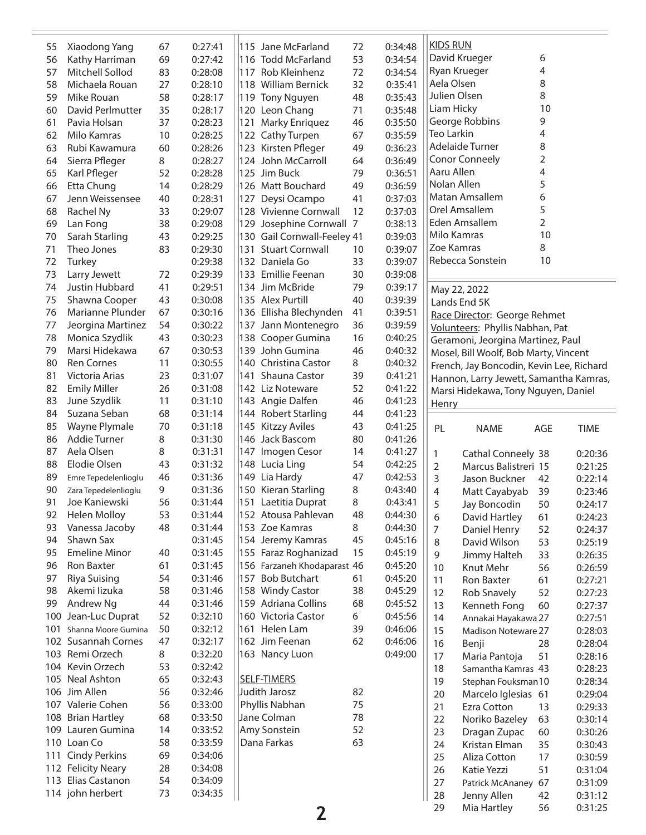| David Krueger<br>6<br>53<br>69<br>0:27:42<br>116 Todd McFarland<br>0:34:54<br>Kathy Harriman<br>56<br>4<br>Ryan Krueger<br>Mitchell Sollod<br>83<br>0:28:08<br>72<br>0:34:54<br>117 Rob Kleinhenz<br>57<br>Aela Olsen<br>8<br>Michaela Rouan<br>27<br>0:28:10<br>118 William Bernick<br>32<br>0:35:41<br>58<br>Julien Olsen<br>8<br>Mike Rouan<br>58<br>48<br>0:35:43<br>59<br>0:28:17<br>119 Tony Nguyen<br>Liam Hicky<br>10<br>35<br>David Perlmutter<br>120 Leon Chang<br>71<br>0:35:48<br>0:28:17<br>60<br>George Robbins<br>9<br>37<br>121 Marky Enriquez<br>46<br>0:35:50<br>Pavia Holsan<br>0:28:23<br>61<br><b>Teo Larkin</b><br>4<br>10<br>67<br>0:35:59<br>Milo Kamras<br>0:28:25<br>122 Cathy Turpen<br>62<br>Adelaide Turner<br>8<br>60<br>0:28:26<br>123 Kirsten Pfleger<br>0:36:23<br>Rubi Kawamura<br>49<br>63<br><b>Conor Conneely</b><br>2<br>Sierra Pfleger<br>8<br>0:28:27<br>124 John McCarroll<br>0:36:49<br>64<br>64<br>Aaru Allen<br>4<br>52<br>0:28:28<br>125 Jim Buck<br>79<br>Karl Pfleger<br>0:36:51<br>65<br>5<br>Nolan Allen<br>0:28:29<br>49<br>0:36:59<br>Etta Chung<br>14<br>126 Matt Bouchard<br>66<br>Matan Amsallem<br>6<br>Jenn Weissensee<br>40<br>127 Deysi Ocampo<br>0:37:03<br>0:28:31<br>41<br>67<br>5<br>Orel Amsallem<br>33<br>128 Vivienne Cornwall<br>12<br>0:37:03<br>Rachel Ny<br>0:29:07<br>68<br>$\overline{2}$<br>Eden Amsallem<br>38<br>129 Josephine Cornwall 7<br>Lan Fong<br>0:29:08<br>0:38:13<br>69<br>Milo Kamras<br>10<br>Sarah Starling<br>43<br>130 Gail Cornwall-Feeley 41<br>0:29:25<br>0:39:03<br>70<br>8<br>Zoe Kamras<br>Theo Jones<br>83<br>0:29:30<br><b>Stuart Cornwall</b><br>0:39:07<br>131<br>10<br>71<br>Rebecca Sonstein<br>10<br>0:29:38<br>33<br>0:39:07<br>Turkey<br>132 Daniela Go<br>72<br>0:29:39<br>133 Emillie Feenan<br>30<br>0:39:08<br>Larry Jewett<br>72<br>73<br>Justin Hubbard<br>41<br>0:29:51<br>79<br>0:39:17<br>134 Jim McBride<br>74<br>May 22, 2022<br>Shawna Cooper<br>43<br>0:30:08<br>40<br>0:39:39<br>75<br>135 Alex Purtill<br>Lands End 5K<br>Marianne Plunder<br>67<br>0:39:51<br>0:30:16<br>136 Ellisha Blechynden<br>41<br>76<br>Race Director: George Rehmet<br>54<br>0:30:22<br>36<br>0:39:59<br>Jeorgina Martinez<br>137 Jann Montenegro<br>77<br>Volunteers: Phyllis Nabhan, Pat<br>Monica Szydlik<br>43<br>0:30:23<br>138 Cooper Gumina<br>16<br>0:40:25<br>78<br>Geramoni, Jeorgina Martinez, Paul<br>Marsi Hidekawa<br>67<br>0:30:53<br>139 John Gumina<br>46<br>0:40:32<br>79<br>Mosel, Bill Woolf, Bob Marty, Vincent<br>11<br>0:30:55<br>8<br>0:40:32<br><b>Ren Cornes</b><br>140 Christina Castor<br>80<br>French, Jay Boncodin, Kevin Lee, Richard<br>23<br>0:31:07<br>Shauna Castor<br>39<br>0:41:21<br>81<br>Victoria Arias<br>141<br>Hannon, Larry Jewett, Samantha Kamras,<br><b>Emily Miller</b><br>26<br>52<br>0:41:22<br>0:31:08<br>142 Liz Noteware<br>82<br>Marsi Hidekawa, Tony Nguyen, Daniel<br>June Szydlik<br>11<br>46<br>0:31:10<br>143 Angie Dalfen<br>0:41:23<br>83<br>Henry<br>Suzana Seban<br>68<br>0:31:14<br>144 Robert Starling<br>44<br>0:41:23<br>84<br>Wayne Plymale<br>70<br>0:31:18<br>145 Kitzzy Aviles<br>43<br>0:41:25<br>85<br><b>TIME</b><br>PL<br><b>NAME</b><br>AGE<br>Addie Turner<br>8<br>146 Jack Bascom<br>0:31:30<br>80<br>0:41:26<br>86<br>Aela Olsen<br>8<br>0:31:31<br>147 Imogen Cesor<br>14<br>0:41:27<br>87<br>1<br>Cathal Conneely 38<br>0:20:36<br>Elodie Olsen<br>54<br>43<br>0:31:32<br>148 Lucia Ling<br>0:42:25<br>88<br>2<br>Marcus Balistreri 15<br>0:21:25<br>46<br>149 Lia Hardy<br>47<br>0:31:36<br>0:42:53<br>89<br>Emre Tepedelenlioglu<br>3<br>Jason Buckner<br>42<br>0:22:14<br>9<br>150 Kieran Starling<br>8<br>0:31:36<br>0:43:40<br>90<br>Zara Tepedelenlioglu<br>4<br>Matt Cayabyab<br>39<br>0:23:46<br>56<br>8<br>0:43:41<br>91<br>Joe Kaniewski<br>0:31:44<br>151 Laetitia Duprat<br>5<br>50<br>0:24:17<br>Jay Boncodin<br><b>Helen Molloy</b><br>53<br>0:31:44<br>152 Atousa Pahlevan<br>48<br>0:44:30<br>92<br>6<br>0:24:23<br>David Hartley<br>61<br>48<br>153 Zoe Kamras<br>8<br>Vanessa Jacoby<br>0:31:44<br>0:44:30<br>93<br>7<br>Daniel Henry<br>52<br>0:24:37<br>Shawn Sax<br>0:31:45<br>154 Jeremy Kamras<br>45<br>0:45:16<br>94<br>David Wilson<br>8<br>53<br>0:25:19<br><b>Emeline Minor</b><br>40<br>0:31:45<br>155 Faraz Roghanizad<br>15<br>0:45:19<br>95<br>33<br>9<br>Jimmy Halteh<br>0:26:35<br>Ron Baxter<br>61<br>0:31:45<br>156 Farzaneh Khodaparast 46<br>0:45:20<br>96<br>10<br>Knut Mehr<br>56<br>0:26:59<br>157 Bob Butchart<br><b>Riya Suising</b><br>54<br>0:31:46<br>0:45:20<br>97<br>61<br>11<br>Ron Baxter<br>61<br>0:27:21<br>Akemi lizuka<br>58<br>0:31:46<br>158 Windy Castor<br>38<br>0:45:29<br>98<br>12<br>Rob Snavely<br>52<br>0:27:23<br>Andrew Ng<br>44<br>0:31:46<br>159 Adriana Collins<br>68<br>0:45:52<br>99<br>13<br>Kenneth Fong<br>60<br>0:27:37<br>52<br>100 Jean-Luc Duprat<br>0:32:10<br>160 Victoria Castor<br>6<br>0:45:56<br>14<br>Annakai Hayakawa 27<br>0:27:51<br>50<br>0:32:12<br>161 Helen Lam<br>39<br>0:46:06<br>Shanna Moore Gumina<br>101<br>15<br>0:28:03<br>Madison Noteware 27<br>47<br>162 Jim Feenan<br>102 Susannah Cornes<br>0:32:17<br>62<br>0:46:06<br>16<br>Benji<br>28<br>0:28:04<br>8<br>103 Remi Orzech<br>0:32:20<br>0:49:00<br>163 Nancy Luon<br>17<br>51<br>Maria Pantoja<br>0:28:16<br>104 Kevin Orzech<br>53<br>0:32:42<br>18<br>Samantha Kamras 43<br>0:28:23<br>105 Neal Ashton<br>65<br><b>SELF-TIMERS</b><br>0:32:43<br>19<br>Stephan Fouksman10<br>0:28:34<br>106 Jim Allen<br>56<br>Judith Jarosz<br>0:32:46<br>82<br>20<br>Marcelo Iglesias 61<br>0:29:04<br>107 Valerie Cohen<br>56<br>Phyllis Nabhan<br>0:33:00<br>75<br>21<br>Ezra Cotton<br>13<br>0:29:33<br>68<br>Jane Colman<br>108 Brian Hartley<br>0:33:50<br>78<br>22<br>Noriko Bazeley<br>63<br>0:30:14<br>Amy Sonstein<br>109 Lauren Gumina<br>14<br>0:33:52<br>52<br>23<br>Dragan Zupac<br>60<br>0:30:26<br>110 Loan Co<br>58<br>Dana Farkas<br>63<br>0:33:59<br>24<br>Kristan Elman<br>35<br>0:30:43<br><b>Cindy Perkins</b><br>69<br>0:34:06<br>111<br>25<br>Aliza Cotton<br>17<br>0:30:59<br>112 Felicity Neary<br>28<br>0:34:08<br>26<br>Katie Yezzi<br>51<br>0:31:04<br>113 Elias Castanon<br>54<br>0:34:09<br>27<br>Patrick McAnaney<br>67<br>0:31:09<br>114 john herbert<br>73<br>0:34:35<br>28<br>Jenny Allen<br>42<br>0:31:12<br>29<br>56<br>0:31:25<br>Mia Hartley | 55 | Xiaodong Yang | 67 | 0:27:41 | 115 Jane McFarland | 72 | 0:34:48 | <b>KIDS RUN</b> |  |  |
|-------------------------------------------------------------------------------------------------------------------------------------------------------------------------------------------------------------------------------------------------------------------------------------------------------------------------------------------------------------------------------------------------------------------------------------------------------------------------------------------------------------------------------------------------------------------------------------------------------------------------------------------------------------------------------------------------------------------------------------------------------------------------------------------------------------------------------------------------------------------------------------------------------------------------------------------------------------------------------------------------------------------------------------------------------------------------------------------------------------------------------------------------------------------------------------------------------------------------------------------------------------------------------------------------------------------------------------------------------------------------------------------------------------------------------------------------------------------------------------------------------------------------------------------------------------------------------------------------------------------------------------------------------------------------------------------------------------------------------------------------------------------------------------------------------------------------------------------------------------------------------------------------------------------------------------------------------------------------------------------------------------------------------------------------------------------------------------------------------------------------------------------------------------------------------------------------------------------------------------------------------------------------------------------------------------------------------------------------------------------------------------------------------------------------------------------------------------------------------------------------------------------------------------------------------------------------------------------------------------------------------------------------------------------------------------------------------------------------------------------------------------------------------------------------------------------------------------------------------------------------------------------------------------------------------------------------------------------------------------------------------------------------------------------------------------------------------------------------------------------------------------------------------------------------------------------------------------------------------------------------------------------------------------------------------------------------------------------------------------------------------------------------------------------------------------------------------------------------------------------------------------------------------------------------------------------------------------------------------------------------------------------------------------------------------------------------------------------------------------------------------------------------------------------------------------------------------------------------------------------------------------------------------------------------------------------------------------------------------------------------------------------------------------------------------------------------------------------------------------------------------------------------------------------------------------------------------------------------------------------------------------------------------------------------------------------------------------------------------------------------------------------------------------------------------------------------------------------------------------------------------------------------------------------------------------------------------------------------------------------------------------------------------------------------------------------------------------------------------------------------------------------------------------------------------------------------------------------------------------------------------------------------------------------------------------------------------------------------------------------------------------------------------------------------------------------------------------------------------------------------------------------------------------------------------------------------------------------------------------------------------------------------------------------------------------------------------------------------------------------------------------------------------------------------------------------------------------------------------------------------------------------------------------------------------------------------------------------------------------------------------------------------------------------------------------------------------------------------------------------------------------------------------------------------------------------------------------------------------------------------------------------------------------------------------------------------------------------------------------------------------------------------------------------------------------------------------------------------------------------------------------------------------------------------------------------------------------------------------------------------------------------------------------------------------------------------------------------------------------------------------------------------------------------|----|---------------|----|---------|--------------------|----|---------|-----------------|--|--|
|                                                                                                                                                                                                                                                                                                                                                                                                                                                                                                                                                                                                                                                                                                                                                                                                                                                                                                                                                                                                                                                                                                                                                                                                                                                                                                                                                                                                                                                                                                                                                                                                                                                                                                                                                                                                                                                                                                                                                                                                                                                                                                                                                                                                                                                                                                                                                                                                                                                                                                                                                                                                                                                                                                                                                                                                                                                                                                                                                                                                                                                                                                                                                                                                                                                                                                                                                                                                                                                                                                                                                                                                                                                                                                                                                                                                                                                                                                                                                                                                                                                                                                                                                                                                                                                                                                                                                                                                                                                                                                                                                                                                                                                                                                                                                                                                                                                                                                                                                                                                                                                                                                                                                                                                                                                                                                                                                                                                                                                                                                                                                                                                                                                                                                                                                                                                                                                                                                                                                                                                                                                                                                                                                                                                                                                                                                                                                                                                                   |    |               |    |         |                    |    |         |                 |  |  |
|                                                                                                                                                                                                                                                                                                                                                                                                                                                                                                                                                                                                                                                                                                                                                                                                                                                                                                                                                                                                                                                                                                                                                                                                                                                                                                                                                                                                                                                                                                                                                                                                                                                                                                                                                                                                                                                                                                                                                                                                                                                                                                                                                                                                                                                                                                                                                                                                                                                                                                                                                                                                                                                                                                                                                                                                                                                                                                                                                                                                                                                                                                                                                                                                                                                                                                                                                                                                                                                                                                                                                                                                                                                                                                                                                                                                                                                                                                                                                                                                                                                                                                                                                                                                                                                                                                                                                                                                                                                                                                                                                                                                                                                                                                                                                                                                                                                                                                                                                                                                                                                                                                                                                                                                                                                                                                                                                                                                                                                                                                                                                                                                                                                                                                                                                                                                                                                                                                                                                                                                                                                                                                                                                                                                                                                                                                                                                                                                                   |    |               |    |         |                    |    |         |                 |  |  |
|                                                                                                                                                                                                                                                                                                                                                                                                                                                                                                                                                                                                                                                                                                                                                                                                                                                                                                                                                                                                                                                                                                                                                                                                                                                                                                                                                                                                                                                                                                                                                                                                                                                                                                                                                                                                                                                                                                                                                                                                                                                                                                                                                                                                                                                                                                                                                                                                                                                                                                                                                                                                                                                                                                                                                                                                                                                                                                                                                                                                                                                                                                                                                                                                                                                                                                                                                                                                                                                                                                                                                                                                                                                                                                                                                                                                                                                                                                                                                                                                                                                                                                                                                                                                                                                                                                                                                                                                                                                                                                                                                                                                                                                                                                                                                                                                                                                                                                                                                                                                                                                                                                                                                                                                                                                                                                                                                                                                                                                                                                                                                                                                                                                                                                                                                                                                                                                                                                                                                                                                                                                                                                                                                                                                                                                                                                                                                                                                                   |    |               |    |         |                    |    |         |                 |  |  |
|                                                                                                                                                                                                                                                                                                                                                                                                                                                                                                                                                                                                                                                                                                                                                                                                                                                                                                                                                                                                                                                                                                                                                                                                                                                                                                                                                                                                                                                                                                                                                                                                                                                                                                                                                                                                                                                                                                                                                                                                                                                                                                                                                                                                                                                                                                                                                                                                                                                                                                                                                                                                                                                                                                                                                                                                                                                                                                                                                                                                                                                                                                                                                                                                                                                                                                                                                                                                                                                                                                                                                                                                                                                                                                                                                                                                                                                                                                                                                                                                                                                                                                                                                                                                                                                                                                                                                                                                                                                                                                                                                                                                                                                                                                                                                                                                                                                                                                                                                                                                                                                                                                                                                                                                                                                                                                                                                                                                                                                                                                                                                                                                                                                                                                                                                                                                                                                                                                                                                                                                                                                                                                                                                                                                                                                                                                                                                                                                                   |    |               |    |         |                    |    |         |                 |  |  |
|                                                                                                                                                                                                                                                                                                                                                                                                                                                                                                                                                                                                                                                                                                                                                                                                                                                                                                                                                                                                                                                                                                                                                                                                                                                                                                                                                                                                                                                                                                                                                                                                                                                                                                                                                                                                                                                                                                                                                                                                                                                                                                                                                                                                                                                                                                                                                                                                                                                                                                                                                                                                                                                                                                                                                                                                                                                                                                                                                                                                                                                                                                                                                                                                                                                                                                                                                                                                                                                                                                                                                                                                                                                                                                                                                                                                                                                                                                                                                                                                                                                                                                                                                                                                                                                                                                                                                                                                                                                                                                                                                                                                                                                                                                                                                                                                                                                                                                                                                                                                                                                                                                                                                                                                                                                                                                                                                                                                                                                                                                                                                                                                                                                                                                                                                                                                                                                                                                                                                                                                                                                                                                                                                                                                                                                                                                                                                                                                                   |    |               |    |         |                    |    |         |                 |  |  |
|                                                                                                                                                                                                                                                                                                                                                                                                                                                                                                                                                                                                                                                                                                                                                                                                                                                                                                                                                                                                                                                                                                                                                                                                                                                                                                                                                                                                                                                                                                                                                                                                                                                                                                                                                                                                                                                                                                                                                                                                                                                                                                                                                                                                                                                                                                                                                                                                                                                                                                                                                                                                                                                                                                                                                                                                                                                                                                                                                                                                                                                                                                                                                                                                                                                                                                                                                                                                                                                                                                                                                                                                                                                                                                                                                                                                                                                                                                                                                                                                                                                                                                                                                                                                                                                                                                                                                                                                                                                                                                                                                                                                                                                                                                                                                                                                                                                                                                                                                                                                                                                                                                                                                                                                                                                                                                                                                                                                                                                                                                                                                                                                                                                                                                                                                                                                                                                                                                                                                                                                                                                                                                                                                                                                                                                                                                                                                                                                                   |    |               |    |         |                    |    |         |                 |  |  |
|                                                                                                                                                                                                                                                                                                                                                                                                                                                                                                                                                                                                                                                                                                                                                                                                                                                                                                                                                                                                                                                                                                                                                                                                                                                                                                                                                                                                                                                                                                                                                                                                                                                                                                                                                                                                                                                                                                                                                                                                                                                                                                                                                                                                                                                                                                                                                                                                                                                                                                                                                                                                                                                                                                                                                                                                                                                                                                                                                                                                                                                                                                                                                                                                                                                                                                                                                                                                                                                                                                                                                                                                                                                                                                                                                                                                                                                                                                                                                                                                                                                                                                                                                                                                                                                                                                                                                                                                                                                                                                                                                                                                                                                                                                                                                                                                                                                                                                                                                                                                                                                                                                                                                                                                                                                                                                                                                                                                                                                                                                                                                                                                                                                                                                                                                                                                                                                                                                                                                                                                                                                                                                                                                                                                                                                                                                                                                                                                                   |    |               |    |         |                    |    |         |                 |  |  |
|                                                                                                                                                                                                                                                                                                                                                                                                                                                                                                                                                                                                                                                                                                                                                                                                                                                                                                                                                                                                                                                                                                                                                                                                                                                                                                                                                                                                                                                                                                                                                                                                                                                                                                                                                                                                                                                                                                                                                                                                                                                                                                                                                                                                                                                                                                                                                                                                                                                                                                                                                                                                                                                                                                                                                                                                                                                                                                                                                                                                                                                                                                                                                                                                                                                                                                                                                                                                                                                                                                                                                                                                                                                                                                                                                                                                                                                                                                                                                                                                                                                                                                                                                                                                                                                                                                                                                                                                                                                                                                                                                                                                                                                                                                                                                                                                                                                                                                                                                                                                                                                                                                                                                                                                                                                                                                                                                                                                                                                                                                                                                                                                                                                                                                                                                                                                                                                                                                                                                                                                                                                                                                                                                                                                                                                                                                                                                                                                                   |    |               |    |         |                    |    |         |                 |  |  |
|                                                                                                                                                                                                                                                                                                                                                                                                                                                                                                                                                                                                                                                                                                                                                                                                                                                                                                                                                                                                                                                                                                                                                                                                                                                                                                                                                                                                                                                                                                                                                                                                                                                                                                                                                                                                                                                                                                                                                                                                                                                                                                                                                                                                                                                                                                                                                                                                                                                                                                                                                                                                                                                                                                                                                                                                                                                                                                                                                                                                                                                                                                                                                                                                                                                                                                                                                                                                                                                                                                                                                                                                                                                                                                                                                                                                                                                                                                                                                                                                                                                                                                                                                                                                                                                                                                                                                                                                                                                                                                                                                                                                                                                                                                                                                                                                                                                                                                                                                                                                                                                                                                                                                                                                                                                                                                                                                                                                                                                                                                                                                                                                                                                                                                                                                                                                                                                                                                                                                                                                                                                                                                                                                                                                                                                                                                                                                                                                                   |    |               |    |         |                    |    |         |                 |  |  |
|                                                                                                                                                                                                                                                                                                                                                                                                                                                                                                                                                                                                                                                                                                                                                                                                                                                                                                                                                                                                                                                                                                                                                                                                                                                                                                                                                                                                                                                                                                                                                                                                                                                                                                                                                                                                                                                                                                                                                                                                                                                                                                                                                                                                                                                                                                                                                                                                                                                                                                                                                                                                                                                                                                                                                                                                                                                                                                                                                                                                                                                                                                                                                                                                                                                                                                                                                                                                                                                                                                                                                                                                                                                                                                                                                                                                                                                                                                                                                                                                                                                                                                                                                                                                                                                                                                                                                                                                                                                                                                                                                                                                                                                                                                                                                                                                                                                                                                                                                                                                                                                                                                                                                                                                                                                                                                                                                                                                                                                                                                                                                                                                                                                                                                                                                                                                                                                                                                                                                                                                                                                                                                                                                                                                                                                                                                                                                                                                                   |    |               |    |         |                    |    |         |                 |  |  |
|                                                                                                                                                                                                                                                                                                                                                                                                                                                                                                                                                                                                                                                                                                                                                                                                                                                                                                                                                                                                                                                                                                                                                                                                                                                                                                                                                                                                                                                                                                                                                                                                                                                                                                                                                                                                                                                                                                                                                                                                                                                                                                                                                                                                                                                                                                                                                                                                                                                                                                                                                                                                                                                                                                                                                                                                                                                                                                                                                                                                                                                                                                                                                                                                                                                                                                                                                                                                                                                                                                                                                                                                                                                                                                                                                                                                                                                                                                                                                                                                                                                                                                                                                                                                                                                                                                                                                                                                                                                                                                                                                                                                                                                                                                                                                                                                                                                                                                                                                                                                                                                                                                                                                                                                                                                                                                                                                                                                                                                                                                                                                                                                                                                                                                                                                                                                                                                                                                                                                                                                                                                                                                                                                                                                                                                                                                                                                                                                                   |    |               |    |         |                    |    |         |                 |  |  |
|                                                                                                                                                                                                                                                                                                                                                                                                                                                                                                                                                                                                                                                                                                                                                                                                                                                                                                                                                                                                                                                                                                                                                                                                                                                                                                                                                                                                                                                                                                                                                                                                                                                                                                                                                                                                                                                                                                                                                                                                                                                                                                                                                                                                                                                                                                                                                                                                                                                                                                                                                                                                                                                                                                                                                                                                                                                                                                                                                                                                                                                                                                                                                                                                                                                                                                                                                                                                                                                                                                                                                                                                                                                                                                                                                                                                                                                                                                                                                                                                                                                                                                                                                                                                                                                                                                                                                                                                                                                                                                                                                                                                                                                                                                                                                                                                                                                                                                                                                                                                                                                                                                                                                                                                                                                                                                                                                                                                                                                                                                                                                                                                                                                                                                                                                                                                                                                                                                                                                                                                                                                                                                                                                                                                                                                                                                                                                                                                                   |    |               |    |         |                    |    |         |                 |  |  |
|                                                                                                                                                                                                                                                                                                                                                                                                                                                                                                                                                                                                                                                                                                                                                                                                                                                                                                                                                                                                                                                                                                                                                                                                                                                                                                                                                                                                                                                                                                                                                                                                                                                                                                                                                                                                                                                                                                                                                                                                                                                                                                                                                                                                                                                                                                                                                                                                                                                                                                                                                                                                                                                                                                                                                                                                                                                                                                                                                                                                                                                                                                                                                                                                                                                                                                                                                                                                                                                                                                                                                                                                                                                                                                                                                                                                                                                                                                                                                                                                                                                                                                                                                                                                                                                                                                                                                                                                                                                                                                                                                                                                                                                                                                                                                                                                                                                                                                                                                                                                                                                                                                                                                                                                                                                                                                                                                                                                                                                                                                                                                                                                                                                                                                                                                                                                                                                                                                                                                                                                                                                                                                                                                                                                                                                                                                                                                                                                                   |    |               |    |         |                    |    |         |                 |  |  |
|                                                                                                                                                                                                                                                                                                                                                                                                                                                                                                                                                                                                                                                                                                                                                                                                                                                                                                                                                                                                                                                                                                                                                                                                                                                                                                                                                                                                                                                                                                                                                                                                                                                                                                                                                                                                                                                                                                                                                                                                                                                                                                                                                                                                                                                                                                                                                                                                                                                                                                                                                                                                                                                                                                                                                                                                                                                                                                                                                                                                                                                                                                                                                                                                                                                                                                                                                                                                                                                                                                                                                                                                                                                                                                                                                                                                                                                                                                                                                                                                                                                                                                                                                                                                                                                                                                                                                                                                                                                                                                                                                                                                                                                                                                                                                                                                                                                                                                                                                                                                                                                                                                                                                                                                                                                                                                                                                                                                                                                                                                                                                                                                                                                                                                                                                                                                                                                                                                                                                                                                                                                                                                                                                                                                                                                                                                                                                                                                                   |    |               |    |         |                    |    |         |                 |  |  |
|                                                                                                                                                                                                                                                                                                                                                                                                                                                                                                                                                                                                                                                                                                                                                                                                                                                                                                                                                                                                                                                                                                                                                                                                                                                                                                                                                                                                                                                                                                                                                                                                                                                                                                                                                                                                                                                                                                                                                                                                                                                                                                                                                                                                                                                                                                                                                                                                                                                                                                                                                                                                                                                                                                                                                                                                                                                                                                                                                                                                                                                                                                                                                                                                                                                                                                                                                                                                                                                                                                                                                                                                                                                                                                                                                                                                                                                                                                                                                                                                                                                                                                                                                                                                                                                                                                                                                                                                                                                                                                                                                                                                                                                                                                                                                                                                                                                                                                                                                                                                                                                                                                                                                                                                                                                                                                                                                                                                                                                                                                                                                                                                                                                                                                                                                                                                                                                                                                                                                                                                                                                                                                                                                                                                                                                                                                                                                                                                                   |    |               |    |         |                    |    |         |                 |  |  |
|                                                                                                                                                                                                                                                                                                                                                                                                                                                                                                                                                                                                                                                                                                                                                                                                                                                                                                                                                                                                                                                                                                                                                                                                                                                                                                                                                                                                                                                                                                                                                                                                                                                                                                                                                                                                                                                                                                                                                                                                                                                                                                                                                                                                                                                                                                                                                                                                                                                                                                                                                                                                                                                                                                                                                                                                                                                                                                                                                                                                                                                                                                                                                                                                                                                                                                                                                                                                                                                                                                                                                                                                                                                                                                                                                                                                                                                                                                                                                                                                                                                                                                                                                                                                                                                                                                                                                                                                                                                                                                                                                                                                                                                                                                                                                                                                                                                                                                                                                                                                                                                                                                                                                                                                                                                                                                                                                                                                                                                                                                                                                                                                                                                                                                                                                                                                                                                                                                                                                                                                                                                                                                                                                                                                                                                                                                                                                                                                                   |    |               |    |         |                    |    |         |                 |  |  |
|                                                                                                                                                                                                                                                                                                                                                                                                                                                                                                                                                                                                                                                                                                                                                                                                                                                                                                                                                                                                                                                                                                                                                                                                                                                                                                                                                                                                                                                                                                                                                                                                                                                                                                                                                                                                                                                                                                                                                                                                                                                                                                                                                                                                                                                                                                                                                                                                                                                                                                                                                                                                                                                                                                                                                                                                                                                                                                                                                                                                                                                                                                                                                                                                                                                                                                                                                                                                                                                                                                                                                                                                                                                                                                                                                                                                                                                                                                                                                                                                                                                                                                                                                                                                                                                                                                                                                                                                                                                                                                                                                                                                                                                                                                                                                                                                                                                                                                                                                                                                                                                                                                                                                                                                                                                                                                                                                                                                                                                                                                                                                                                                                                                                                                                                                                                                                                                                                                                                                                                                                                                                                                                                                                                                                                                                                                                                                                                                                   |    |               |    |         |                    |    |         |                 |  |  |
|                                                                                                                                                                                                                                                                                                                                                                                                                                                                                                                                                                                                                                                                                                                                                                                                                                                                                                                                                                                                                                                                                                                                                                                                                                                                                                                                                                                                                                                                                                                                                                                                                                                                                                                                                                                                                                                                                                                                                                                                                                                                                                                                                                                                                                                                                                                                                                                                                                                                                                                                                                                                                                                                                                                                                                                                                                                                                                                                                                                                                                                                                                                                                                                                                                                                                                                                                                                                                                                                                                                                                                                                                                                                                                                                                                                                                                                                                                                                                                                                                                                                                                                                                                                                                                                                                                                                                                                                                                                                                                                                                                                                                                                                                                                                                                                                                                                                                                                                                                                                                                                                                                                                                                                                                                                                                                                                                                                                                                                                                                                                                                                                                                                                                                                                                                                                                                                                                                                                                                                                                                                                                                                                                                                                                                                                                                                                                                                                                   |    |               |    |         |                    |    |         |                 |  |  |
|                                                                                                                                                                                                                                                                                                                                                                                                                                                                                                                                                                                                                                                                                                                                                                                                                                                                                                                                                                                                                                                                                                                                                                                                                                                                                                                                                                                                                                                                                                                                                                                                                                                                                                                                                                                                                                                                                                                                                                                                                                                                                                                                                                                                                                                                                                                                                                                                                                                                                                                                                                                                                                                                                                                                                                                                                                                                                                                                                                                                                                                                                                                                                                                                                                                                                                                                                                                                                                                                                                                                                                                                                                                                                                                                                                                                                                                                                                                                                                                                                                                                                                                                                                                                                                                                                                                                                                                                                                                                                                                                                                                                                                                                                                                                                                                                                                                                                                                                                                                                                                                                                                                                                                                                                                                                                                                                                                                                                                                                                                                                                                                                                                                                                                                                                                                                                                                                                                                                                                                                                                                                                                                                                                                                                                                                                                                                                                                                                   |    |               |    |         |                    |    |         |                 |  |  |
|                                                                                                                                                                                                                                                                                                                                                                                                                                                                                                                                                                                                                                                                                                                                                                                                                                                                                                                                                                                                                                                                                                                                                                                                                                                                                                                                                                                                                                                                                                                                                                                                                                                                                                                                                                                                                                                                                                                                                                                                                                                                                                                                                                                                                                                                                                                                                                                                                                                                                                                                                                                                                                                                                                                                                                                                                                                                                                                                                                                                                                                                                                                                                                                                                                                                                                                                                                                                                                                                                                                                                                                                                                                                                                                                                                                                                                                                                                                                                                                                                                                                                                                                                                                                                                                                                                                                                                                                                                                                                                                                                                                                                                                                                                                                                                                                                                                                                                                                                                                                                                                                                                                                                                                                                                                                                                                                                                                                                                                                                                                                                                                                                                                                                                                                                                                                                                                                                                                                                                                                                                                                                                                                                                                                                                                                                                                                                                                                                   |    |               |    |         |                    |    |         |                 |  |  |
|                                                                                                                                                                                                                                                                                                                                                                                                                                                                                                                                                                                                                                                                                                                                                                                                                                                                                                                                                                                                                                                                                                                                                                                                                                                                                                                                                                                                                                                                                                                                                                                                                                                                                                                                                                                                                                                                                                                                                                                                                                                                                                                                                                                                                                                                                                                                                                                                                                                                                                                                                                                                                                                                                                                                                                                                                                                                                                                                                                                                                                                                                                                                                                                                                                                                                                                                                                                                                                                                                                                                                                                                                                                                                                                                                                                                                                                                                                                                                                                                                                                                                                                                                                                                                                                                                                                                                                                                                                                                                                                                                                                                                                                                                                                                                                                                                                                                                                                                                                                                                                                                                                                                                                                                                                                                                                                                                                                                                                                                                                                                                                                                                                                                                                                                                                                                                                                                                                                                                                                                                                                                                                                                                                                                                                                                                                                                                                                                                   |    |               |    |         |                    |    |         |                 |  |  |
|                                                                                                                                                                                                                                                                                                                                                                                                                                                                                                                                                                                                                                                                                                                                                                                                                                                                                                                                                                                                                                                                                                                                                                                                                                                                                                                                                                                                                                                                                                                                                                                                                                                                                                                                                                                                                                                                                                                                                                                                                                                                                                                                                                                                                                                                                                                                                                                                                                                                                                                                                                                                                                                                                                                                                                                                                                                                                                                                                                                                                                                                                                                                                                                                                                                                                                                                                                                                                                                                                                                                                                                                                                                                                                                                                                                                                                                                                                                                                                                                                                                                                                                                                                                                                                                                                                                                                                                                                                                                                                                                                                                                                                                                                                                                                                                                                                                                                                                                                                                                                                                                                                                                                                                                                                                                                                                                                                                                                                                                                                                                                                                                                                                                                                                                                                                                                                                                                                                                                                                                                                                                                                                                                                                                                                                                                                                                                                                                                   |    |               |    |         |                    |    |         |                 |  |  |
|                                                                                                                                                                                                                                                                                                                                                                                                                                                                                                                                                                                                                                                                                                                                                                                                                                                                                                                                                                                                                                                                                                                                                                                                                                                                                                                                                                                                                                                                                                                                                                                                                                                                                                                                                                                                                                                                                                                                                                                                                                                                                                                                                                                                                                                                                                                                                                                                                                                                                                                                                                                                                                                                                                                                                                                                                                                                                                                                                                                                                                                                                                                                                                                                                                                                                                                                                                                                                                                                                                                                                                                                                                                                                                                                                                                                                                                                                                                                                                                                                                                                                                                                                                                                                                                                                                                                                                                                                                                                                                                                                                                                                                                                                                                                                                                                                                                                                                                                                                                                                                                                                                                                                                                                                                                                                                                                                                                                                                                                                                                                                                                                                                                                                                                                                                                                                                                                                                                                                                                                                                                                                                                                                                                                                                                                                                                                                                                                                   |    |               |    |         |                    |    |         |                 |  |  |
|                                                                                                                                                                                                                                                                                                                                                                                                                                                                                                                                                                                                                                                                                                                                                                                                                                                                                                                                                                                                                                                                                                                                                                                                                                                                                                                                                                                                                                                                                                                                                                                                                                                                                                                                                                                                                                                                                                                                                                                                                                                                                                                                                                                                                                                                                                                                                                                                                                                                                                                                                                                                                                                                                                                                                                                                                                                                                                                                                                                                                                                                                                                                                                                                                                                                                                                                                                                                                                                                                                                                                                                                                                                                                                                                                                                                                                                                                                                                                                                                                                                                                                                                                                                                                                                                                                                                                                                                                                                                                                                                                                                                                                                                                                                                                                                                                                                                                                                                                                                                                                                                                                                                                                                                                                                                                                                                                                                                                                                                                                                                                                                                                                                                                                                                                                                                                                                                                                                                                                                                                                                                                                                                                                                                                                                                                                                                                                                                                   |    |               |    |         |                    |    |         |                 |  |  |
|                                                                                                                                                                                                                                                                                                                                                                                                                                                                                                                                                                                                                                                                                                                                                                                                                                                                                                                                                                                                                                                                                                                                                                                                                                                                                                                                                                                                                                                                                                                                                                                                                                                                                                                                                                                                                                                                                                                                                                                                                                                                                                                                                                                                                                                                                                                                                                                                                                                                                                                                                                                                                                                                                                                                                                                                                                                                                                                                                                                                                                                                                                                                                                                                                                                                                                                                                                                                                                                                                                                                                                                                                                                                                                                                                                                                                                                                                                                                                                                                                                                                                                                                                                                                                                                                                                                                                                                                                                                                                                                                                                                                                                                                                                                                                                                                                                                                                                                                                                                                                                                                                                                                                                                                                                                                                                                                                                                                                                                                                                                                                                                                                                                                                                                                                                                                                                                                                                                                                                                                                                                                                                                                                                                                                                                                                                                                                                                                                   |    |               |    |         |                    |    |         |                 |  |  |
|                                                                                                                                                                                                                                                                                                                                                                                                                                                                                                                                                                                                                                                                                                                                                                                                                                                                                                                                                                                                                                                                                                                                                                                                                                                                                                                                                                                                                                                                                                                                                                                                                                                                                                                                                                                                                                                                                                                                                                                                                                                                                                                                                                                                                                                                                                                                                                                                                                                                                                                                                                                                                                                                                                                                                                                                                                                                                                                                                                                                                                                                                                                                                                                                                                                                                                                                                                                                                                                                                                                                                                                                                                                                                                                                                                                                                                                                                                                                                                                                                                                                                                                                                                                                                                                                                                                                                                                                                                                                                                                                                                                                                                                                                                                                                                                                                                                                                                                                                                                                                                                                                                                                                                                                                                                                                                                                                                                                                                                                                                                                                                                                                                                                                                                                                                                                                                                                                                                                                                                                                                                                                                                                                                                                                                                                                                                                                                                                                   |    |               |    |         |                    |    |         |                 |  |  |
|                                                                                                                                                                                                                                                                                                                                                                                                                                                                                                                                                                                                                                                                                                                                                                                                                                                                                                                                                                                                                                                                                                                                                                                                                                                                                                                                                                                                                                                                                                                                                                                                                                                                                                                                                                                                                                                                                                                                                                                                                                                                                                                                                                                                                                                                                                                                                                                                                                                                                                                                                                                                                                                                                                                                                                                                                                                                                                                                                                                                                                                                                                                                                                                                                                                                                                                                                                                                                                                                                                                                                                                                                                                                                                                                                                                                                                                                                                                                                                                                                                                                                                                                                                                                                                                                                                                                                                                                                                                                                                                                                                                                                                                                                                                                                                                                                                                                                                                                                                                                                                                                                                                                                                                                                                                                                                                                                                                                                                                                                                                                                                                                                                                                                                                                                                                                                                                                                                                                                                                                                                                                                                                                                                                                                                                                                                                                                                                                                   |    |               |    |         |                    |    |         |                 |  |  |
|                                                                                                                                                                                                                                                                                                                                                                                                                                                                                                                                                                                                                                                                                                                                                                                                                                                                                                                                                                                                                                                                                                                                                                                                                                                                                                                                                                                                                                                                                                                                                                                                                                                                                                                                                                                                                                                                                                                                                                                                                                                                                                                                                                                                                                                                                                                                                                                                                                                                                                                                                                                                                                                                                                                                                                                                                                                                                                                                                                                                                                                                                                                                                                                                                                                                                                                                                                                                                                                                                                                                                                                                                                                                                                                                                                                                                                                                                                                                                                                                                                                                                                                                                                                                                                                                                                                                                                                                                                                                                                                                                                                                                                                                                                                                                                                                                                                                                                                                                                                                                                                                                                                                                                                                                                                                                                                                                                                                                                                                                                                                                                                                                                                                                                                                                                                                                                                                                                                                                                                                                                                                                                                                                                                                                                                                                                                                                                                                                   |    |               |    |         |                    |    |         |                 |  |  |
|                                                                                                                                                                                                                                                                                                                                                                                                                                                                                                                                                                                                                                                                                                                                                                                                                                                                                                                                                                                                                                                                                                                                                                                                                                                                                                                                                                                                                                                                                                                                                                                                                                                                                                                                                                                                                                                                                                                                                                                                                                                                                                                                                                                                                                                                                                                                                                                                                                                                                                                                                                                                                                                                                                                                                                                                                                                                                                                                                                                                                                                                                                                                                                                                                                                                                                                                                                                                                                                                                                                                                                                                                                                                                                                                                                                                                                                                                                                                                                                                                                                                                                                                                                                                                                                                                                                                                                                                                                                                                                                                                                                                                                                                                                                                                                                                                                                                                                                                                                                                                                                                                                                                                                                                                                                                                                                                                                                                                                                                                                                                                                                                                                                                                                                                                                                                                                                                                                                                                                                                                                                                                                                                                                                                                                                                                                                                                                                                                   |    |               |    |         |                    |    |         |                 |  |  |
|                                                                                                                                                                                                                                                                                                                                                                                                                                                                                                                                                                                                                                                                                                                                                                                                                                                                                                                                                                                                                                                                                                                                                                                                                                                                                                                                                                                                                                                                                                                                                                                                                                                                                                                                                                                                                                                                                                                                                                                                                                                                                                                                                                                                                                                                                                                                                                                                                                                                                                                                                                                                                                                                                                                                                                                                                                                                                                                                                                                                                                                                                                                                                                                                                                                                                                                                                                                                                                                                                                                                                                                                                                                                                                                                                                                                                                                                                                                                                                                                                                                                                                                                                                                                                                                                                                                                                                                                                                                                                                                                                                                                                                                                                                                                                                                                                                                                                                                                                                                                                                                                                                                                                                                                                                                                                                                                                                                                                                                                                                                                                                                                                                                                                                                                                                                                                                                                                                                                                                                                                                                                                                                                                                                                                                                                                                                                                                                                                   |    |               |    |         |                    |    |         |                 |  |  |
|                                                                                                                                                                                                                                                                                                                                                                                                                                                                                                                                                                                                                                                                                                                                                                                                                                                                                                                                                                                                                                                                                                                                                                                                                                                                                                                                                                                                                                                                                                                                                                                                                                                                                                                                                                                                                                                                                                                                                                                                                                                                                                                                                                                                                                                                                                                                                                                                                                                                                                                                                                                                                                                                                                                                                                                                                                                                                                                                                                                                                                                                                                                                                                                                                                                                                                                                                                                                                                                                                                                                                                                                                                                                                                                                                                                                                                                                                                                                                                                                                                                                                                                                                                                                                                                                                                                                                                                                                                                                                                                                                                                                                                                                                                                                                                                                                                                                                                                                                                                                                                                                                                                                                                                                                                                                                                                                                                                                                                                                                                                                                                                                                                                                                                                                                                                                                                                                                                                                                                                                                                                                                                                                                                                                                                                                                                                                                                                                                   |    |               |    |         |                    |    |         |                 |  |  |
|                                                                                                                                                                                                                                                                                                                                                                                                                                                                                                                                                                                                                                                                                                                                                                                                                                                                                                                                                                                                                                                                                                                                                                                                                                                                                                                                                                                                                                                                                                                                                                                                                                                                                                                                                                                                                                                                                                                                                                                                                                                                                                                                                                                                                                                                                                                                                                                                                                                                                                                                                                                                                                                                                                                                                                                                                                                                                                                                                                                                                                                                                                                                                                                                                                                                                                                                                                                                                                                                                                                                                                                                                                                                                                                                                                                                                                                                                                                                                                                                                                                                                                                                                                                                                                                                                                                                                                                                                                                                                                                                                                                                                                                                                                                                                                                                                                                                                                                                                                                                                                                                                                                                                                                                                                                                                                                                                                                                                                                                                                                                                                                                                                                                                                                                                                                                                                                                                                                                                                                                                                                                                                                                                                                                                                                                                                                                                                                                                   |    |               |    |         |                    |    |         |                 |  |  |
|                                                                                                                                                                                                                                                                                                                                                                                                                                                                                                                                                                                                                                                                                                                                                                                                                                                                                                                                                                                                                                                                                                                                                                                                                                                                                                                                                                                                                                                                                                                                                                                                                                                                                                                                                                                                                                                                                                                                                                                                                                                                                                                                                                                                                                                                                                                                                                                                                                                                                                                                                                                                                                                                                                                                                                                                                                                                                                                                                                                                                                                                                                                                                                                                                                                                                                                                                                                                                                                                                                                                                                                                                                                                                                                                                                                                                                                                                                                                                                                                                                                                                                                                                                                                                                                                                                                                                                                                                                                                                                                                                                                                                                                                                                                                                                                                                                                                                                                                                                                                                                                                                                                                                                                                                                                                                                                                                                                                                                                                                                                                                                                                                                                                                                                                                                                                                                                                                                                                                                                                                                                                                                                                                                                                                                                                                                                                                                                                                   |    |               |    |         |                    |    |         |                 |  |  |
|                                                                                                                                                                                                                                                                                                                                                                                                                                                                                                                                                                                                                                                                                                                                                                                                                                                                                                                                                                                                                                                                                                                                                                                                                                                                                                                                                                                                                                                                                                                                                                                                                                                                                                                                                                                                                                                                                                                                                                                                                                                                                                                                                                                                                                                                                                                                                                                                                                                                                                                                                                                                                                                                                                                                                                                                                                                                                                                                                                                                                                                                                                                                                                                                                                                                                                                                                                                                                                                                                                                                                                                                                                                                                                                                                                                                                                                                                                                                                                                                                                                                                                                                                                                                                                                                                                                                                                                                                                                                                                                                                                                                                                                                                                                                                                                                                                                                                                                                                                                                                                                                                                                                                                                                                                                                                                                                                                                                                                                                                                                                                                                                                                                                                                                                                                                                                                                                                                                                                                                                                                                                                                                                                                                                                                                                                                                                                                                                                   |    |               |    |         |                    |    |         |                 |  |  |
|                                                                                                                                                                                                                                                                                                                                                                                                                                                                                                                                                                                                                                                                                                                                                                                                                                                                                                                                                                                                                                                                                                                                                                                                                                                                                                                                                                                                                                                                                                                                                                                                                                                                                                                                                                                                                                                                                                                                                                                                                                                                                                                                                                                                                                                                                                                                                                                                                                                                                                                                                                                                                                                                                                                                                                                                                                                                                                                                                                                                                                                                                                                                                                                                                                                                                                                                                                                                                                                                                                                                                                                                                                                                                                                                                                                                                                                                                                                                                                                                                                                                                                                                                                                                                                                                                                                                                                                                                                                                                                                                                                                                                                                                                                                                                                                                                                                                                                                                                                                                                                                                                                                                                                                                                                                                                                                                                                                                                                                                                                                                                                                                                                                                                                                                                                                                                                                                                                                                                                                                                                                                                                                                                                                                                                                                                                                                                                                                                   |    |               |    |         |                    |    |         |                 |  |  |
|                                                                                                                                                                                                                                                                                                                                                                                                                                                                                                                                                                                                                                                                                                                                                                                                                                                                                                                                                                                                                                                                                                                                                                                                                                                                                                                                                                                                                                                                                                                                                                                                                                                                                                                                                                                                                                                                                                                                                                                                                                                                                                                                                                                                                                                                                                                                                                                                                                                                                                                                                                                                                                                                                                                                                                                                                                                                                                                                                                                                                                                                                                                                                                                                                                                                                                                                                                                                                                                                                                                                                                                                                                                                                                                                                                                                                                                                                                                                                                                                                                                                                                                                                                                                                                                                                                                                                                                                                                                                                                                                                                                                                                                                                                                                                                                                                                                                                                                                                                                                                                                                                                                                                                                                                                                                                                                                                                                                                                                                                                                                                                                                                                                                                                                                                                                                                                                                                                                                                                                                                                                                                                                                                                                                                                                                                                                                                                                                                   |    |               |    |         |                    |    |         |                 |  |  |
|                                                                                                                                                                                                                                                                                                                                                                                                                                                                                                                                                                                                                                                                                                                                                                                                                                                                                                                                                                                                                                                                                                                                                                                                                                                                                                                                                                                                                                                                                                                                                                                                                                                                                                                                                                                                                                                                                                                                                                                                                                                                                                                                                                                                                                                                                                                                                                                                                                                                                                                                                                                                                                                                                                                                                                                                                                                                                                                                                                                                                                                                                                                                                                                                                                                                                                                                                                                                                                                                                                                                                                                                                                                                                                                                                                                                                                                                                                                                                                                                                                                                                                                                                                                                                                                                                                                                                                                                                                                                                                                                                                                                                                                                                                                                                                                                                                                                                                                                                                                                                                                                                                                                                                                                                                                                                                                                                                                                                                                                                                                                                                                                                                                                                                                                                                                                                                                                                                                                                                                                                                                                                                                                                                                                                                                                                                                                                                                                                   |    |               |    |         |                    |    |         |                 |  |  |
|                                                                                                                                                                                                                                                                                                                                                                                                                                                                                                                                                                                                                                                                                                                                                                                                                                                                                                                                                                                                                                                                                                                                                                                                                                                                                                                                                                                                                                                                                                                                                                                                                                                                                                                                                                                                                                                                                                                                                                                                                                                                                                                                                                                                                                                                                                                                                                                                                                                                                                                                                                                                                                                                                                                                                                                                                                                                                                                                                                                                                                                                                                                                                                                                                                                                                                                                                                                                                                                                                                                                                                                                                                                                                                                                                                                                                                                                                                                                                                                                                                                                                                                                                                                                                                                                                                                                                                                                                                                                                                                                                                                                                                                                                                                                                                                                                                                                                                                                                                                                                                                                                                                                                                                                                                                                                                                                                                                                                                                                                                                                                                                                                                                                                                                                                                                                                                                                                                                                                                                                                                                                                                                                                                                                                                                                                                                                                                                                                   |    |               |    |         |                    |    |         |                 |  |  |
|                                                                                                                                                                                                                                                                                                                                                                                                                                                                                                                                                                                                                                                                                                                                                                                                                                                                                                                                                                                                                                                                                                                                                                                                                                                                                                                                                                                                                                                                                                                                                                                                                                                                                                                                                                                                                                                                                                                                                                                                                                                                                                                                                                                                                                                                                                                                                                                                                                                                                                                                                                                                                                                                                                                                                                                                                                                                                                                                                                                                                                                                                                                                                                                                                                                                                                                                                                                                                                                                                                                                                                                                                                                                                                                                                                                                                                                                                                                                                                                                                                                                                                                                                                                                                                                                                                                                                                                                                                                                                                                                                                                                                                                                                                                                                                                                                                                                                                                                                                                                                                                                                                                                                                                                                                                                                                                                                                                                                                                                                                                                                                                                                                                                                                                                                                                                                                                                                                                                                                                                                                                                                                                                                                                                                                                                                                                                                                                                                   |    |               |    |         |                    |    |         |                 |  |  |
|                                                                                                                                                                                                                                                                                                                                                                                                                                                                                                                                                                                                                                                                                                                                                                                                                                                                                                                                                                                                                                                                                                                                                                                                                                                                                                                                                                                                                                                                                                                                                                                                                                                                                                                                                                                                                                                                                                                                                                                                                                                                                                                                                                                                                                                                                                                                                                                                                                                                                                                                                                                                                                                                                                                                                                                                                                                                                                                                                                                                                                                                                                                                                                                                                                                                                                                                                                                                                                                                                                                                                                                                                                                                                                                                                                                                                                                                                                                                                                                                                                                                                                                                                                                                                                                                                                                                                                                                                                                                                                                                                                                                                                                                                                                                                                                                                                                                                                                                                                                                                                                                                                                                                                                                                                                                                                                                                                                                                                                                                                                                                                                                                                                                                                                                                                                                                                                                                                                                                                                                                                                                                                                                                                                                                                                                                                                                                                                                                   |    |               |    |         |                    |    |         |                 |  |  |
|                                                                                                                                                                                                                                                                                                                                                                                                                                                                                                                                                                                                                                                                                                                                                                                                                                                                                                                                                                                                                                                                                                                                                                                                                                                                                                                                                                                                                                                                                                                                                                                                                                                                                                                                                                                                                                                                                                                                                                                                                                                                                                                                                                                                                                                                                                                                                                                                                                                                                                                                                                                                                                                                                                                                                                                                                                                                                                                                                                                                                                                                                                                                                                                                                                                                                                                                                                                                                                                                                                                                                                                                                                                                                                                                                                                                                                                                                                                                                                                                                                                                                                                                                                                                                                                                                                                                                                                                                                                                                                                                                                                                                                                                                                                                                                                                                                                                                                                                                                                                                                                                                                                                                                                                                                                                                                                                                                                                                                                                                                                                                                                                                                                                                                                                                                                                                                                                                                                                                                                                                                                                                                                                                                                                                                                                                                                                                                                                                   |    |               |    |         |                    |    |         |                 |  |  |
|                                                                                                                                                                                                                                                                                                                                                                                                                                                                                                                                                                                                                                                                                                                                                                                                                                                                                                                                                                                                                                                                                                                                                                                                                                                                                                                                                                                                                                                                                                                                                                                                                                                                                                                                                                                                                                                                                                                                                                                                                                                                                                                                                                                                                                                                                                                                                                                                                                                                                                                                                                                                                                                                                                                                                                                                                                                                                                                                                                                                                                                                                                                                                                                                                                                                                                                                                                                                                                                                                                                                                                                                                                                                                                                                                                                                                                                                                                                                                                                                                                                                                                                                                                                                                                                                                                                                                                                                                                                                                                                                                                                                                                                                                                                                                                                                                                                                                                                                                                                                                                                                                                                                                                                                                                                                                                                                                                                                                                                                                                                                                                                                                                                                                                                                                                                                                                                                                                                                                                                                                                                                                                                                                                                                                                                                                                                                                                                                                   |    |               |    |         |                    |    |         |                 |  |  |
|                                                                                                                                                                                                                                                                                                                                                                                                                                                                                                                                                                                                                                                                                                                                                                                                                                                                                                                                                                                                                                                                                                                                                                                                                                                                                                                                                                                                                                                                                                                                                                                                                                                                                                                                                                                                                                                                                                                                                                                                                                                                                                                                                                                                                                                                                                                                                                                                                                                                                                                                                                                                                                                                                                                                                                                                                                                                                                                                                                                                                                                                                                                                                                                                                                                                                                                                                                                                                                                                                                                                                                                                                                                                                                                                                                                                                                                                                                                                                                                                                                                                                                                                                                                                                                                                                                                                                                                                                                                                                                                                                                                                                                                                                                                                                                                                                                                                                                                                                                                                                                                                                                                                                                                                                                                                                                                                                                                                                                                                                                                                                                                                                                                                                                                                                                                                                                                                                                                                                                                                                                                                                                                                                                                                                                                                                                                                                                                                                   |    |               |    |         |                    |    |         |                 |  |  |
|                                                                                                                                                                                                                                                                                                                                                                                                                                                                                                                                                                                                                                                                                                                                                                                                                                                                                                                                                                                                                                                                                                                                                                                                                                                                                                                                                                                                                                                                                                                                                                                                                                                                                                                                                                                                                                                                                                                                                                                                                                                                                                                                                                                                                                                                                                                                                                                                                                                                                                                                                                                                                                                                                                                                                                                                                                                                                                                                                                                                                                                                                                                                                                                                                                                                                                                                                                                                                                                                                                                                                                                                                                                                                                                                                                                                                                                                                                                                                                                                                                                                                                                                                                                                                                                                                                                                                                                                                                                                                                                                                                                                                                                                                                                                                                                                                                                                                                                                                                                                                                                                                                                                                                                                                                                                                                                                                                                                                                                                                                                                                                                                                                                                                                                                                                                                                                                                                                                                                                                                                                                                                                                                                                                                                                                                                                                                                                                                                   |    |               |    |         |                    |    |         |                 |  |  |
|                                                                                                                                                                                                                                                                                                                                                                                                                                                                                                                                                                                                                                                                                                                                                                                                                                                                                                                                                                                                                                                                                                                                                                                                                                                                                                                                                                                                                                                                                                                                                                                                                                                                                                                                                                                                                                                                                                                                                                                                                                                                                                                                                                                                                                                                                                                                                                                                                                                                                                                                                                                                                                                                                                                                                                                                                                                                                                                                                                                                                                                                                                                                                                                                                                                                                                                                                                                                                                                                                                                                                                                                                                                                                                                                                                                                                                                                                                                                                                                                                                                                                                                                                                                                                                                                                                                                                                                                                                                                                                                                                                                                                                                                                                                                                                                                                                                                                                                                                                                                                                                                                                                                                                                                                                                                                                                                                                                                                                                                                                                                                                                                                                                                                                                                                                                                                                                                                                                                                                                                                                                                                                                                                                                                                                                                                                                                                                                                                   |    |               |    |         |                    |    |         |                 |  |  |
|                                                                                                                                                                                                                                                                                                                                                                                                                                                                                                                                                                                                                                                                                                                                                                                                                                                                                                                                                                                                                                                                                                                                                                                                                                                                                                                                                                                                                                                                                                                                                                                                                                                                                                                                                                                                                                                                                                                                                                                                                                                                                                                                                                                                                                                                                                                                                                                                                                                                                                                                                                                                                                                                                                                                                                                                                                                                                                                                                                                                                                                                                                                                                                                                                                                                                                                                                                                                                                                                                                                                                                                                                                                                                                                                                                                                                                                                                                                                                                                                                                                                                                                                                                                                                                                                                                                                                                                                                                                                                                                                                                                                                                                                                                                                                                                                                                                                                                                                                                                                                                                                                                                                                                                                                                                                                                                                                                                                                                                                                                                                                                                                                                                                                                                                                                                                                                                                                                                                                                                                                                                                                                                                                                                                                                                                                                                                                                                                                   |    |               |    |         |                    |    |         |                 |  |  |
|                                                                                                                                                                                                                                                                                                                                                                                                                                                                                                                                                                                                                                                                                                                                                                                                                                                                                                                                                                                                                                                                                                                                                                                                                                                                                                                                                                                                                                                                                                                                                                                                                                                                                                                                                                                                                                                                                                                                                                                                                                                                                                                                                                                                                                                                                                                                                                                                                                                                                                                                                                                                                                                                                                                                                                                                                                                                                                                                                                                                                                                                                                                                                                                                                                                                                                                                                                                                                                                                                                                                                                                                                                                                                                                                                                                                                                                                                                                                                                                                                                                                                                                                                                                                                                                                                                                                                                                                                                                                                                                                                                                                                                                                                                                                                                                                                                                                                                                                                                                                                                                                                                                                                                                                                                                                                                                                                                                                                                                                                                                                                                                                                                                                                                                                                                                                                                                                                                                                                                                                                                                                                                                                                                                                                                                                                                                                                                                                                   |    |               |    |         |                    |    |         |                 |  |  |
|                                                                                                                                                                                                                                                                                                                                                                                                                                                                                                                                                                                                                                                                                                                                                                                                                                                                                                                                                                                                                                                                                                                                                                                                                                                                                                                                                                                                                                                                                                                                                                                                                                                                                                                                                                                                                                                                                                                                                                                                                                                                                                                                                                                                                                                                                                                                                                                                                                                                                                                                                                                                                                                                                                                                                                                                                                                                                                                                                                                                                                                                                                                                                                                                                                                                                                                                                                                                                                                                                                                                                                                                                                                                                                                                                                                                                                                                                                                                                                                                                                                                                                                                                                                                                                                                                                                                                                                                                                                                                                                                                                                                                                                                                                                                                                                                                                                                                                                                                                                                                                                                                                                                                                                                                                                                                                                                                                                                                                                                                                                                                                                                                                                                                                                                                                                                                                                                                                                                                                                                                                                                                                                                                                                                                                                                                                                                                                                                                   |    |               |    |         |                    |    |         |                 |  |  |
|                                                                                                                                                                                                                                                                                                                                                                                                                                                                                                                                                                                                                                                                                                                                                                                                                                                                                                                                                                                                                                                                                                                                                                                                                                                                                                                                                                                                                                                                                                                                                                                                                                                                                                                                                                                                                                                                                                                                                                                                                                                                                                                                                                                                                                                                                                                                                                                                                                                                                                                                                                                                                                                                                                                                                                                                                                                                                                                                                                                                                                                                                                                                                                                                                                                                                                                                                                                                                                                                                                                                                                                                                                                                                                                                                                                                                                                                                                                                                                                                                                                                                                                                                                                                                                                                                                                                                                                                                                                                                                                                                                                                                                                                                                                                                                                                                                                                                                                                                                                                                                                                                                                                                                                                                                                                                                                                                                                                                                                                                                                                                                                                                                                                                                                                                                                                                                                                                                                                                                                                                                                                                                                                                                                                                                                                                                                                                                                                                   |    |               |    |         |                    |    |         |                 |  |  |
|                                                                                                                                                                                                                                                                                                                                                                                                                                                                                                                                                                                                                                                                                                                                                                                                                                                                                                                                                                                                                                                                                                                                                                                                                                                                                                                                                                                                                                                                                                                                                                                                                                                                                                                                                                                                                                                                                                                                                                                                                                                                                                                                                                                                                                                                                                                                                                                                                                                                                                                                                                                                                                                                                                                                                                                                                                                                                                                                                                                                                                                                                                                                                                                                                                                                                                                                                                                                                                                                                                                                                                                                                                                                                                                                                                                                                                                                                                                                                                                                                                                                                                                                                                                                                                                                                                                                                                                                                                                                                                                                                                                                                                                                                                                                                                                                                                                                                                                                                                                                                                                                                                                                                                                                                                                                                                                                                                                                                                                                                                                                                                                                                                                                                                                                                                                                                                                                                                                                                                                                                                                                                                                                                                                                                                                                                                                                                                                                                   |    |               |    |         |                    |    |         |                 |  |  |
|                                                                                                                                                                                                                                                                                                                                                                                                                                                                                                                                                                                                                                                                                                                                                                                                                                                                                                                                                                                                                                                                                                                                                                                                                                                                                                                                                                                                                                                                                                                                                                                                                                                                                                                                                                                                                                                                                                                                                                                                                                                                                                                                                                                                                                                                                                                                                                                                                                                                                                                                                                                                                                                                                                                                                                                                                                                                                                                                                                                                                                                                                                                                                                                                                                                                                                                                                                                                                                                                                                                                                                                                                                                                                                                                                                                                                                                                                                                                                                                                                                                                                                                                                                                                                                                                                                                                                                                                                                                                                                                                                                                                                                                                                                                                                                                                                                                                                                                                                                                                                                                                                                                                                                                                                                                                                                                                                                                                                                                                                                                                                                                                                                                                                                                                                                                                                                                                                                                                                                                                                                                                                                                                                                                                                                                                                                                                                                                                                   |    |               |    |         |                    |    |         |                 |  |  |
|                                                                                                                                                                                                                                                                                                                                                                                                                                                                                                                                                                                                                                                                                                                                                                                                                                                                                                                                                                                                                                                                                                                                                                                                                                                                                                                                                                                                                                                                                                                                                                                                                                                                                                                                                                                                                                                                                                                                                                                                                                                                                                                                                                                                                                                                                                                                                                                                                                                                                                                                                                                                                                                                                                                                                                                                                                                                                                                                                                                                                                                                                                                                                                                                                                                                                                                                                                                                                                                                                                                                                                                                                                                                                                                                                                                                                                                                                                                                                                                                                                                                                                                                                                                                                                                                                                                                                                                                                                                                                                                                                                                                                                                                                                                                                                                                                                                                                                                                                                                                                                                                                                                                                                                                                                                                                                                                                                                                                                                                                                                                                                                                                                                                                                                                                                                                                                                                                                                                                                                                                                                                                                                                                                                                                                                                                                                                                                                                                   |    |               |    |         |                    |    |         |                 |  |  |
|                                                                                                                                                                                                                                                                                                                                                                                                                                                                                                                                                                                                                                                                                                                                                                                                                                                                                                                                                                                                                                                                                                                                                                                                                                                                                                                                                                                                                                                                                                                                                                                                                                                                                                                                                                                                                                                                                                                                                                                                                                                                                                                                                                                                                                                                                                                                                                                                                                                                                                                                                                                                                                                                                                                                                                                                                                                                                                                                                                                                                                                                                                                                                                                                                                                                                                                                                                                                                                                                                                                                                                                                                                                                                                                                                                                                                                                                                                                                                                                                                                                                                                                                                                                                                                                                                                                                                                                                                                                                                                                                                                                                                                                                                                                                                                                                                                                                                                                                                                                                                                                                                                                                                                                                                                                                                                                                                                                                                                                                                                                                                                                                                                                                                                                                                                                                                                                                                                                                                                                                                                                                                                                                                                                                                                                                                                                                                                                                                   |    |               |    |         |                    |    |         |                 |  |  |
|                                                                                                                                                                                                                                                                                                                                                                                                                                                                                                                                                                                                                                                                                                                                                                                                                                                                                                                                                                                                                                                                                                                                                                                                                                                                                                                                                                                                                                                                                                                                                                                                                                                                                                                                                                                                                                                                                                                                                                                                                                                                                                                                                                                                                                                                                                                                                                                                                                                                                                                                                                                                                                                                                                                                                                                                                                                                                                                                                                                                                                                                                                                                                                                                                                                                                                                                                                                                                                                                                                                                                                                                                                                                                                                                                                                                                                                                                                                                                                                                                                                                                                                                                                                                                                                                                                                                                                                                                                                                                                                                                                                                                                                                                                                                                                                                                                                                                                                                                                                                                                                                                                                                                                                                                                                                                                                                                                                                                                                                                                                                                                                                                                                                                                                                                                                                                                                                                                                                                                                                                                                                                                                                                                                                                                                                                                                                                                                                                   |    |               |    |         |                    |    |         |                 |  |  |
|                                                                                                                                                                                                                                                                                                                                                                                                                                                                                                                                                                                                                                                                                                                                                                                                                                                                                                                                                                                                                                                                                                                                                                                                                                                                                                                                                                                                                                                                                                                                                                                                                                                                                                                                                                                                                                                                                                                                                                                                                                                                                                                                                                                                                                                                                                                                                                                                                                                                                                                                                                                                                                                                                                                                                                                                                                                                                                                                                                                                                                                                                                                                                                                                                                                                                                                                                                                                                                                                                                                                                                                                                                                                                                                                                                                                                                                                                                                                                                                                                                                                                                                                                                                                                                                                                                                                                                                                                                                                                                                                                                                                                                                                                                                                                                                                                                                                                                                                                                                                                                                                                                                                                                                                                                                                                                                                                                                                                                                                                                                                                                                                                                                                                                                                                                                                                                                                                                                                                                                                                                                                                                                                                                                                                                                                                                                                                                                                                   |    |               |    |         |                    |    |         |                 |  |  |
|                                                                                                                                                                                                                                                                                                                                                                                                                                                                                                                                                                                                                                                                                                                                                                                                                                                                                                                                                                                                                                                                                                                                                                                                                                                                                                                                                                                                                                                                                                                                                                                                                                                                                                                                                                                                                                                                                                                                                                                                                                                                                                                                                                                                                                                                                                                                                                                                                                                                                                                                                                                                                                                                                                                                                                                                                                                                                                                                                                                                                                                                                                                                                                                                                                                                                                                                                                                                                                                                                                                                                                                                                                                                                                                                                                                                                                                                                                                                                                                                                                                                                                                                                                                                                                                                                                                                                                                                                                                                                                                                                                                                                                                                                                                                                                                                                                                                                                                                                                                                                                                                                                                                                                                                                                                                                                                                                                                                                                                                                                                                                                                                                                                                                                                                                                                                                                                                                                                                                                                                                                                                                                                                                                                                                                                                                                                                                                                                                   |    |               |    |         |                    |    |         |                 |  |  |
|                                                                                                                                                                                                                                                                                                                                                                                                                                                                                                                                                                                                                                                                                                                                                                                                                                                                                                                                                                                                                                                                                                                                                                                                                                                                                                                                                                                                                                                                                                                                                                                                                                                                                                                                                                                                                                                                                                                                                                                                                                                                                                                                                                                                                                                                                                                                                                                                                                                                                                                                                                                                                                                                                                                                                                                                                                                                                                                                                                                                                                                                                                                                                                                                                                                                                                                                                                                                                                                                                                                                                                                                                                                                                                                                                                                                                                                                                                                                                                                                                                                                                                                                                                                                                                                                                                                                                                                                                                                                                                                                                                                                                                                                                                                                                                                                                                                                                                                                                                                                                                                                                                                                                                                                                                                                                                                                                                                                                                                                                                                                                                                                                                                                                                                                                                                                                                                                                                                                                                                                                                                                                                                                                                                                                                                                                                                                                                                                                   |    |               |    |         |                    |    |         |                 |  |  |
|                                                                                                                                                                                                                                                                                                                                                                                                                                                                                                                                                                                                                                                                                                                                                                                                                                                                                                                                                                                                                                                                                                                                                                                                                                                                                                                                                                                                                                                                                                                                                                                                                                                                                                                                                                                                                                                                                                                                                                                                                                                                                                                                                                                                                                                                                                                                                                                                                                                                                                                                                                                                                                                                                                                                                                                                                                                                                                                                                                                                                                                                                                                                                                                                                                                                                                                                                                                                                                                                                                                                                                                                                                                                                                                                                                                                                                                                                                                                                                                                                                                                                                                                                                                                                                                                                                                                                                                                                                                                                                                                                                                                                                                                                                                                                                                                                                                                                                                                                                                                                                                                                                                                                                                                                                                                                                                                                                                                                                                                                                                                                                                                                                                                                                                                                                                                                                                                                                                                                                                                                                                                                                                                                                                                                                                                                                                                                                                                                   |    |               |    |         |                    |    |         |                 |  |  |
|                                                                                                                                                                                                                                                                                                                                                                                                                                                                                                                                                                                                                                                                                                                                                                                                                                                                                                                                                                                                                                                                                                                                                                                                                                                                                                                                                                                                                                                                                                                                                                                                                                                                                                                                                                                                                                                                                                                                                                                                                                                                                                                                                                                                                                                                                                                                                                                                                                                                                                                                                                                                                                                                                                                                                                                                                                                                                                                                                                                                                                                                                                                                                                                                                                                                                                                                                                                                                                                                                                                                                                                                                                                                                                                                                                                                                                                                                                                                                                                                                                                                                                                                                                                                                                                                                                                                                                                                                                                                                                                                                                                                                                                                                                                                                                                                                                                                                                                                                                                                                                                                                                                                                                                                                                                                                                                                                                                                                                                                                                                                                                                                                                                                                                                                                                                                                                                                                                                                                                                                                                                                                                                                                                                                                                                                                                                                                                                                                   |    |               |    |         |                    |    |         |                 |  |  |
|                                                                                                                                                                                                                                                                                                                                                                                                                                                                                                                                                                                                                                                                                                                                                                                                                                                                                                                                                                                                                                                                                                                                                                                                                                                                                                                                                                                                                                                                                                                                                                                                                                                                                                                                                                                                                                                                                                                                                                                                                                                                                                                                                                                                                                                                                                                                                                                                                                                                                                                                                                                                                                                                                                                                                                                                                                                                                                                                                                                                                                                                                                                                                                                                                                                                                                                                                                                                                                                                                                                                                                                                                                                                                                                                                                                                                                                                                                                                                                                                                                                                                                                                                                                                                                                                                                                                                                                                                                                                                                                                                                                                                                                                                                                                                                                                                                                                                                                                                                                                                                                                                                                                                                                                                                                                                                                                                                                                                                                                                                                                                                                                                                                                                                                                                                                                                                                                                                                                                                                                                                                                                                                                                                                                                                                                                                                                                                                                                   |    |               |    |         |                    |    |         |                 |  |  |

 $\equiv$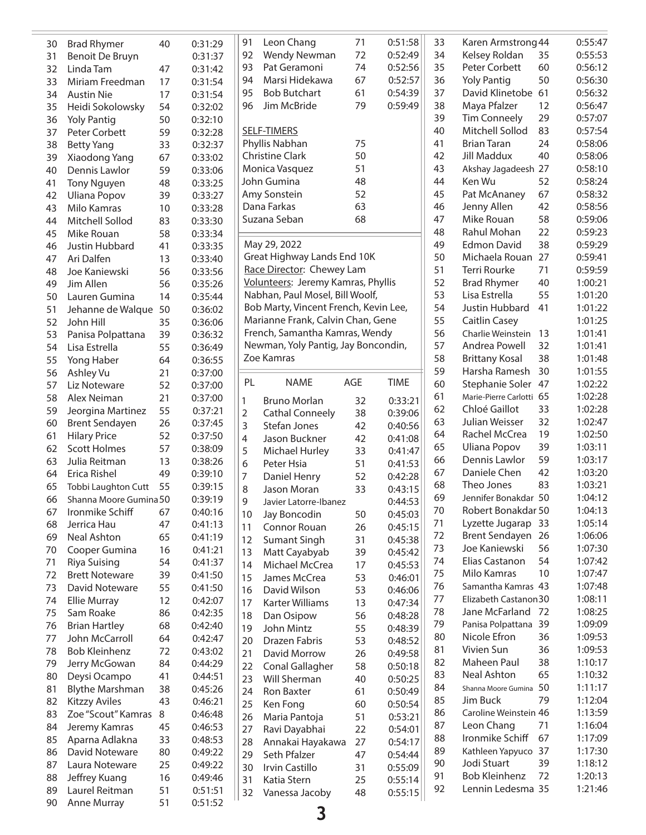|    |                        |    |         | 91             | Leon Chang                            | 71  | 0:51:58     |
|----|------------------------|----|---------|----------------|---------------------------------------|-----|-------------|
| 30 | <b>Brad Rhymer</b>     | 40 | 0:31:29 |                | <b>Wendy Newman</b>                   |     |             |
| 31 | Benoit De Bruyn        |    | 0:31:37 | 92             |                                       | 72  | 0:52:49     |
| 32 | Linda Tam              | 47 | 0:31:42 | 93             | Pat Geramoni                          | 74  | 0:52:56     |
| 33 | Miriam Freedman        | 17 | 0:31:54 | 94             | Marsi Hidekawa                        | 67  | 0:52:57     |
| 34 | <b>Austin Nie</b>      | 17 | 0:31:54 | 95             | <b>Bob Butchart</b>                   | 61  | 0:54:39     |
| 35 | Heidi Sokolowsky       | 54 | 0:32:02 | 96             | Jim McBride                           | 79  | 0:59:49     |
| 36 | <b>Yoly Pantig</b>     | 50 | 0:32:10 |                |                                       |     |             |
| 37 | Peter Corbett          | 59 | 0:32:28 |                | <b>SELF-TIMERS</b>                    |     |             |
| 38 | <b>Betty Yang</b>      | 33 | 0:32:37 |                | Phyllis Nabhan                        | 75  |             |
| 39 | Xiaodong Yang          | 67 | 0:33:02 |                | <b>Christine Clark</b>                | 50  |             |
| 40 | Dennis Lawlor          | 59 | 0:33:06 |                | Monica Vasquez                        | 51  |             |
| 41 | <b>Tony Nguyen</b>     | 48 | 0:33:25 |                | John Gumina                           | 48  |             |
| 42 | <b>Uliana Popov</b>    |    |         |                | Amy Sonstein                          | 52  |             |
|    |                        | 39 | 0:33:27 |                | Dana Farkas                           | 63  |             |
| 43 | Milo Kamras            | 10 | 0:33:28 |                | Suzana Seban                          | 68  |             |
| 44 | Mitchell Sollod        | 83 | 0:33:30 |                |                                       |     |             |
| 45 | Mike Rouan             | 58 | 0:33:34 |                |                                       |     |             |
| 46 | Justin Hubbard         | 41 | 0:33:35 |                | May 29, 2022                          |     |             |
| 47 | Ari Dalfen             | 13 | 0:33:40 |                | Great Highway Lands End 10K           |     |             |
| 48 | Joe Kaniewski          | 56 | 0:33:56 |                | Race Director: Chewey Lam             |     |             |
| 49 | Jim Allen              | 56 | 0:35:26 |                | Volunteers: Jeremy Kamras, Phyllis    |     |             |
| 50 | Lauren Gumina          | 14 | 0:35:44 |                | Nabhan, Paul Mosel, Bill Woolf,       |     |             |
| 51 | Jehanne de Walque      | 50 | 0:36:02 |                | Bob Marty, Vincent French, Kevin Lee, |     |             |
| 52 | John Hill              | 35 | 0:36:06 |                | Marianne Frank, Calvin Chan, Gene     |     |             |
| 53 | Panisa Polpattana      | 39 | 0:36:32 |                | French, Samantha Kamras, Wendy        |     |             |
| 54 | Lisa Estrella          | 55 | 0:36:49 |                | Newman, Yoly Pantig, Jay Boncondin,   |     |             |
|    |                        |    |         |                | Zoe Kamras                            |     |             |
| 55 | Yong Haber             | 64 | 0:36:55 |                |                                       |     |             |
| 56 | Ashley Vu              | 21 | 0:37:00 | PL             | NAME                                  | AGE | <b>TIME</b> |
| 57 | Liz Noteware           | 52 | 0:37:00 |                |                                       |     |             |
| 58 | Alex Neiman            | 21 | 0:37:00 | 1              | <b>Bruno Morlan</b>                   | 32  | 0:33:21     |
| 59 | Jeorgina Martinez      | 55 | 0:37:21 | $\overline{2}$ | <b>Cathal Conneely</b>                | 38  | 0:39:06     |
| 60 | <b>Brent Sendayen</b>  | 26 | 0:37:45 | 3              | Stefan Jones                          | 42  | 0:40:56     |
| 61 | <b>Hilary Price</b>    | 52 | 0:37:50 | 4              | Jason Buckner                         | 42  | 0:41:08     |
| 62 | <b>Scott Holmes</b>    | 57 | 0:38:09 | 5              | <b>Michael Hurley</b>                 | 33  | 0:41:47     |
| 63 | Julia Reitman          | 13 | 0:38:26 | 6              | Peter Hsia                            | 51  | 0:41:53     |
| 64 | Erica Rishel           | 49 | 0:39:10 | 7              | Daniel Henry                          | 52  | 0:42:28     |
| 65 | Tobbi Laughton Cutt    | 55 | 0:39:15 | 8              | Jason Moran                           | 33  |             |
| 66 | Shanna Moore Gumina 50 |    | 0:39:19 |                |                                       |     | 0:43:15     |
| 67 | Ironmike Schiff        | 67 | 0:40:16 | 9              | Javier Latorre-Ibanez                 |     | 0:44:53     |
|    |                        |    |         | 10             | Jay Boncodin                          | 50  | 0:45:03     |
| 68 | Jerrica Hau            | 47 | 0:41:13 | 11             | Connor Rouan                          | 26  | 0:45:15     |
| 69 | Neal Ashton            | 65 | 0:41:19 | 12             | <b>Sumant Singh</b>                   | 31  | 0:45:38     |
| 70 | Cooper Gumina          | 16 | 0:41:21 | 13             | Matt Cayabyab                         | 39  | 0:45:42     |
| 71 | Riya Suising           | 54 | 0:41:37 | 14             | Michael McCrea                        | 17  | 0:45:53     |
| 72 | <b>Brett Noteware</b>  | 39 | 0:41:50 | 15             | James McCrea                          | 53  | 0:46:01     |
| 73 | David Noteware         | 55 | 0:41:50 | 16             | David Wilson                          | 53  | 0:46:06     |
| 74 | <b>Ellie Murray</b>    | 12 | 0:42:07 | 17             | Karter Williams                       | 13  | 0:47:34     |
| 75 | Sam Roake              | 86 | 0:42:35 | 18             | Dan Osipow                            | 56  | 0:48:28     |
| 76 | <b>Brian Hartley</b>   | 68 | 0:42:40 | 19             | John Mintz                            | 55  | 0:48:39     |
| 77 | John McCarroll         | 64 | 0:42:47 | 20             | Drazen Fabris                         | 53  | 0:48:52     |
| 78 | <b>Bob Kleinhenz</b>   | 72 | 0:43:02 |                |                                       |     |             |
| 79 | Jerry McGowan          | 84 | 0:44:29 | 21             | David Morrow                          | 26  | 0:49:58     |
| 80 | Deysi Ocampo           | 41 | 0:44:51 | 22             | Conal Gallagher                       | 58  | 0:50:18     |
|    |                        |    |         | 23             | Will Sherman                          | 40  | 0:50:25     |
| 81 | <b>Blythe Marshman</b> | 38 | 0:45:26 | 24             | Ron Baxter                            | 61  | 0:50:49     |
| 82 | <b>Kitzzy Aviles</b>   | 43 | 0:46:21 | 25             | Ken Fong                              | 60  | 0:50:54     |
| 83 | Zoe "Scout" Kamras     | 8  | 0:46:48 | 26             | Maria Pantoja                         | 51  | 0:53:21     |
| 84 | Jeremy Kamras          | 45 | 0:46:53 | 27             | Ravi Dayabhai                         | 22  | 0:54:01     |
| 85 | Aparna Adlakna         | 33 | 0:48:53 | 28             | Annakai Hayakawa                      | 27  | 0:54:17     |
| 86 | David Noteware         | 80 | 0:49:22 | 29             | Seth Pfalzer                          | 47  | 0:54:44     |
| 87 | Laura Noteware         | 25 | 0:49:22 | 30             | Irvin Castillo                        | 31  | 0:55:09     |
| 88 | Jeffrey Kuang          | 16 | 0:49:46 | 31             | Katia Stern                           | 25  | 0:55:14     |
| 89 | Laurel Reitman         | 51 | 0:51:51 | 32             | Vanessa Jacoby                        | 48  | 0:55:15     |
| 90 | Anne Murray            | 51 | 0:51:52 |                |                                       |     |             |
|    |                        |    |         |                |                                       |     |             |

|                 | 71                   | 0:51:58     | 33 | Karen Armstrong 44    |    | 0:55:47 |
|-----------------|----------------------|-------------|----|-----------------------|----|---------|
| ıan             | 72                   | 0:52:49     | 34 | Kelsey Roldan         | 35 | 0:55:53 |
|                 | 74                   | 0:52:56     | 35 | Peter Corbett         | 60 | 0:56:12 |
|                 |                      |             |    |                       |    |         |
| wa              | 67                   | 0:52:57     | 36 | <b>Yoly Pantig</b>    | 50 | 0:56:30 |
|                 | 61                   | 0:54:39     | 37 | David Klinetobe       | 61 | 0:56:32 |
|                 | 79                   | 0:59:49     | 38 | Maya Pfalzer          | 12 | 0:56:47 |
|                 |                      |             | 39 | <b>Tim Conneely</b>   | 29 | 0:57:07 |
|                 |                      |             | 40 | Mitchell Sollod       | 83 | 0:57:54 |
|                 | 75                   |             | 41 | <b>Brian Taran</b>    | 24 | 0:58:06 |
|                 | 50                   |             | 42 | <b>Jill Maddux</b>    | 40 | 0:58:06 |
|                 | 51                   |             | 43 | Akshay Jagadeesh 27   |    | 0:58:10 |
|                 | 48                   |             | 44 | Ken Wu                | 52 | 0:58:24 |
|                 | 52                   |             | 45 |                       | 67 |         |
|                 |                      |             |    | Pat McAnaney          |    | 0:58:32 |
|                 | 63                   |             | 46 | Jenny Allen           | 42 | 0:58:56 |
|                 | 68                   |             | 47 | Mike Rouan            | 58 | 0:59:06 |
|                 |                      |             | 48 | Rahul Mohan           | 22 | 0:59:23 |
|                 |                      |             | 49 | <b>Edmon David</b>    | 38 | 0:59:29 |
| nds End 10K     |                      |             | 50 | Michaela Rouan        | 27 | 0:59:41 |
| ewey Lam        |                      |             | 51 | <b>Terri Rourke</b>   | 71 | 0:59:59 |
|                 | y Kamras, Phyllis    |             | 52 | <b>Brad Rhymer</b>    | 40 | 1:00:21 |
| el, Bill Woolf, |                      |             | 53 | Lisa Estrella         | 55 | 1:01:20 |
|                 | t French, Kevin Lee, |             | 54 | Justin Hubbard        | 41 | 1:01:22 |
|                 |                      |             |    |                       |    |         |
|                 | alvin Chan, Gene     |             | 55 | <b>Caitlin Casey</b>  |    | 1:01:25 |
|                 | Kamras, Wendy        |             | 56 | Charlie Weinstein     | 13 | 1:01:41 |
|                 | itig, Jay Boncondin, |             | 57 | Andrea Powell         | 32 | 1:01:41 |
|                 |                      |             | 58 | <b>Brittany Kosal</b> | 38 | 1:01:48 |
|                 |                      |             | 59 | Harsha Ramesh         | 30 | 1:01:55 |
|                 | AGE                  | <b>TIME</b> | 60 | Stephanie Soler       | 47 | 1:02:22 |
|                 |                      |             | 61 | Marie-Pierre Carlotti | 65 | 1:02:28 |
|                 | 32                   | 0:33:21     | 62 | Chloé Gaillot         | 33 | 1:02:28 |
| ely             | 38                   | 0:39:06     | 63 | Julian Weisser        | 32 | 1:02:47 |
|                 | 42                   | 0:40:56     | 64 | Rachel McCrea         | 19 | 1:02:50 |
| r               | 42                   | 0:41:08     |    |                       |    |         |
| ٠y              | 33                   | 0:41:47     | 65 | <b>Uliana Popov</b>   | 39 | 1:03:11 |
|                 | 51                   | 0:41:53     | 66 | Dennis Lawlor         | 59 | 1:03:17 |
|                 | 52                   | 0:42:28     | 67 | Daniele Chen          | 42 | 1:03:20 |
|                 | 33                   | 0:43:15     | 68 | Theo Jones            | 83 | 1:03:21 |
| banez           |                      | 0:44:53     | 69 | Jennifer Bonakdar 50  |    | 1:04:12 |
|                 | 50                   | 0:45:03     | 70 | Robert Bonakdar 50    |    | 1:04:13 |
|                 | 26                   | 0:45:15     | 71 | Lyzette Jugarap       | 33 | 1:05:14 |
| ٦               |                      |             | 72 | <b>Brent Sendayen</b> | 26 | 1:06:06 |
| Ì               | 31                   | 0:45:38     | 73 | Joe Kaniewski         | 56 | 1:07:30 |
| b               | 39                   | 0:45:42     | 74 | Elias Castanon        | 54 | 1:07:42 |
| ea              | 17                   | 0:45:53     | 75 |                       | 10 |         |
| E               | 53                   | 0:46:01     |    | Milo Kamras           |    | 1:07:47 |
|                 | 53                   | 0:46:06     | 76 | Samantha Kamras 43    |    | 1:07:48 |
| ١S              | 13                   | 0:47:34     | 77 | Elizabeth Castanon30  |    | 1:08:11 |
|                 | 56                   | 0:48:28     | 78 | Jane McFarland        | 72 | 1:08:25 |
|                 | 55                   | 0:48:39     | 79 | Panisa Polpattana     | 39 | 1:09:09 |
|                 | 53                   | 0:48:52     | 80 | Nicole Efron          | 36 | 1:09:53 |
|                 | 26                   | 0:49:58     | 81 | Vivien Sun            | 36 | 1:09:53 |
| J               |                      |             | 82 | Maheen Paul           | 38 | 1:10:17 |
| ıer             | 58                   | 0:50:18     | 83 | <b>Neal Ashton</b>    | 65 | 1:10:32 |
|                 | 40                   | 0:50:25     | 84 | Shanna Moore Gumina   | 50 | 1:11:17 |
|                 | 61                   | 0:50:49     |    |                       |    |         |
|                 | 60                   | 0:50:54     | 85 | Jim Buck              | 79 | 1:12:04 |
|                 | 51                   | 0:53:21     | 86 | Caroline Weinstein 46 |    | 1:13:59 |
| i               | 22                   | 0:54:01     | 87 | Leon Chang            | 71 | 1:16:04 |
| kawa            | 27                   | 0:54:17     | 88 | Ironmike Schiff       | 67 | 1:17:09 |
|                 | 47                   | 0:54:44     | 89 | Kathleen Yapyuco      | 37 | 1:17:30 |
|                 |                      |             | 90 | Jodi Stuart           | 39 | 1:18:12 |
|                 | 31                   | 0:55:09     | 91 | <b>Bob Kleinhenz</b>  | 72 | 1:20:13 |
|                 | 25                   | 0:55:14     | 92 | Lennin Ledesma 35     |    | 1:21:46 |
| οу              | 48                   | 0:55:15     |    |                       |    |         |
|                 |                      |             |    |                       |    |         |